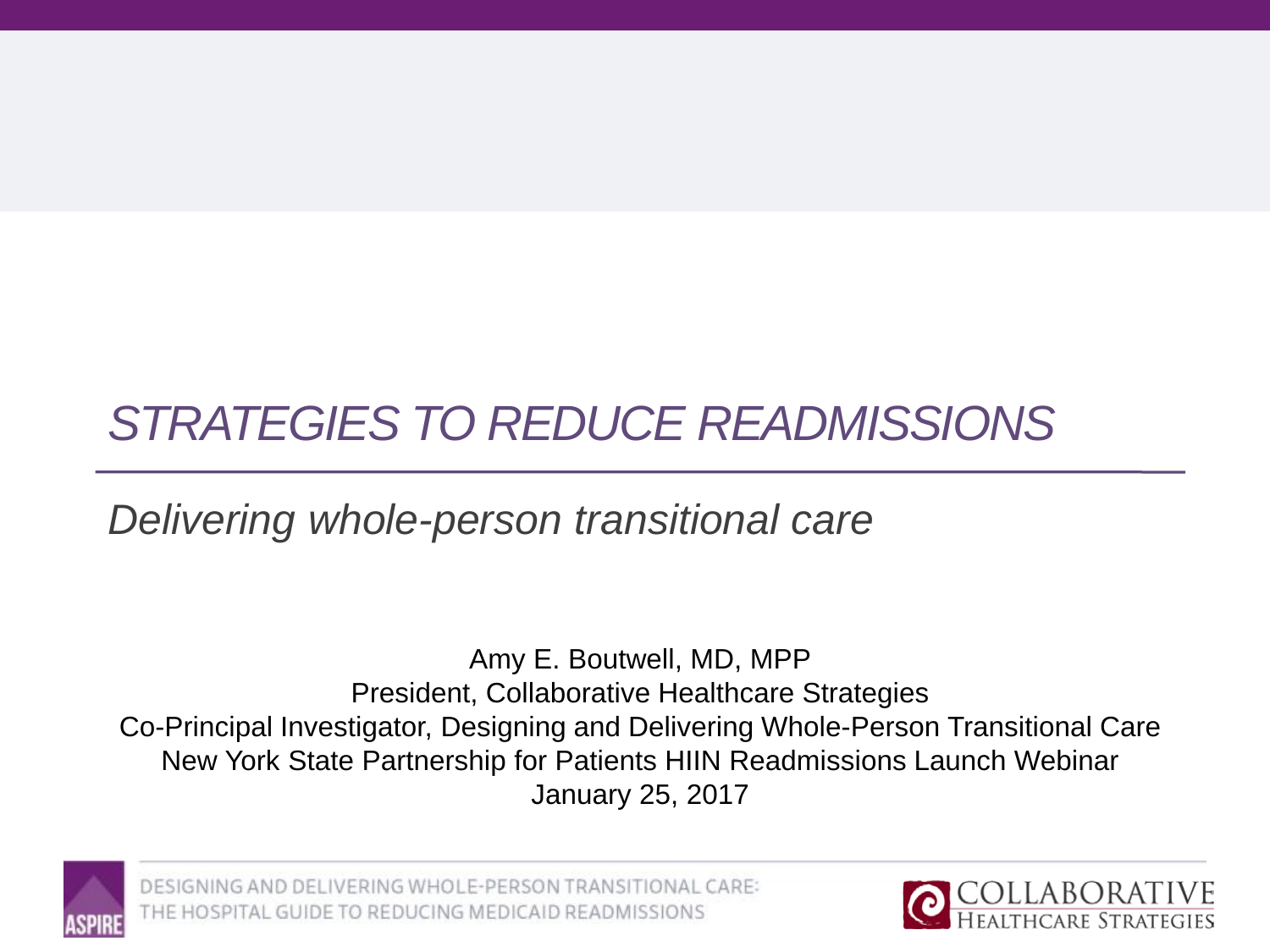# *STRATEGIES TO REDUCE READMISSIONS*

*Delivering whole-person transitional care*

Amy E. Boutwell, MD, MPP President, Collaborative Healthcare Strategies Co-Principal Investigator, Designing and Delivering Whole-Person Transitional Care New York State Partnership for Patients HIIN Readmissions Launch Webinar January 25, 2017



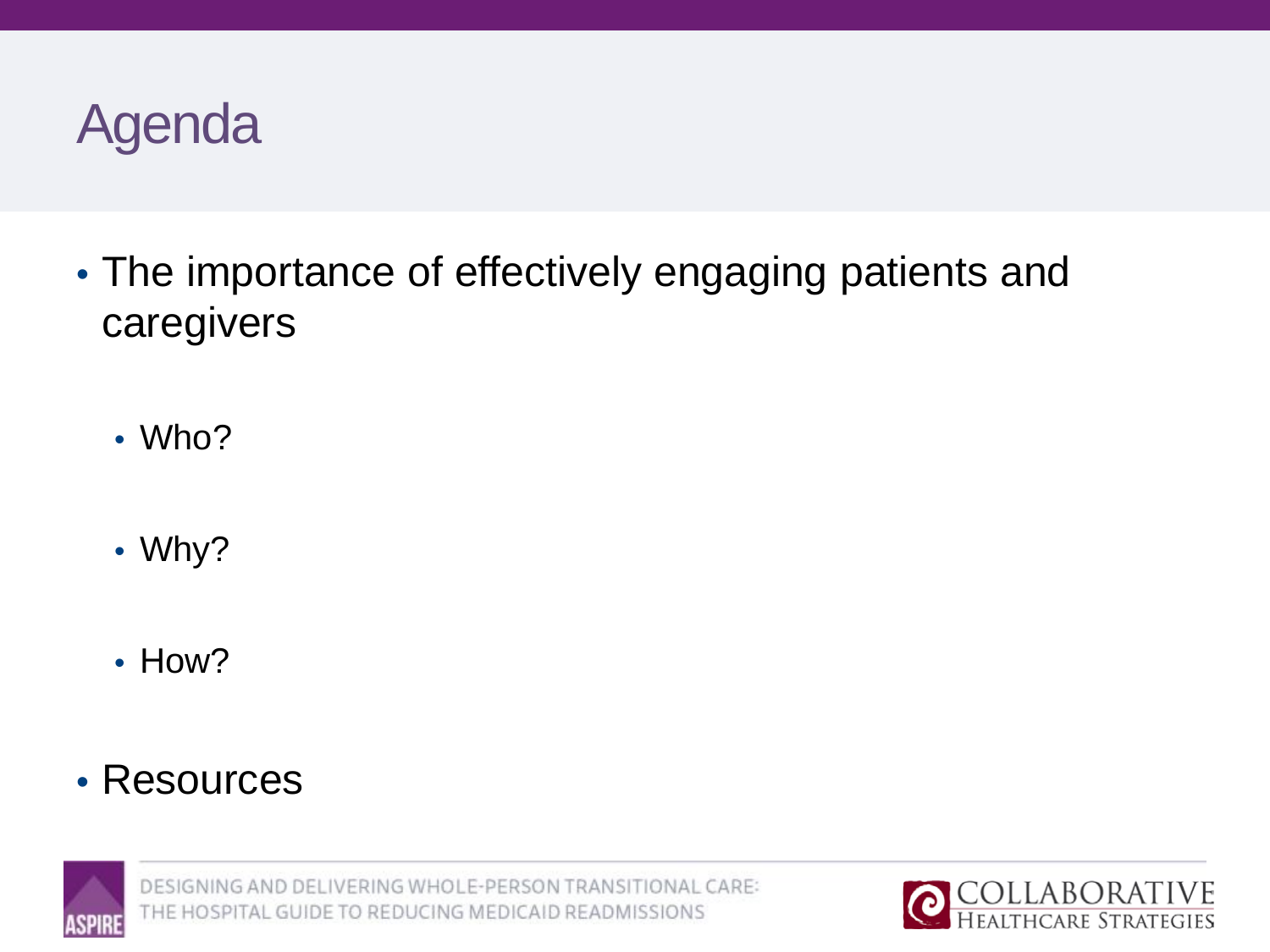

- The importance of effectively engaging patients and caregivers
	- Who?
	- Why?
	- How?
- Resources



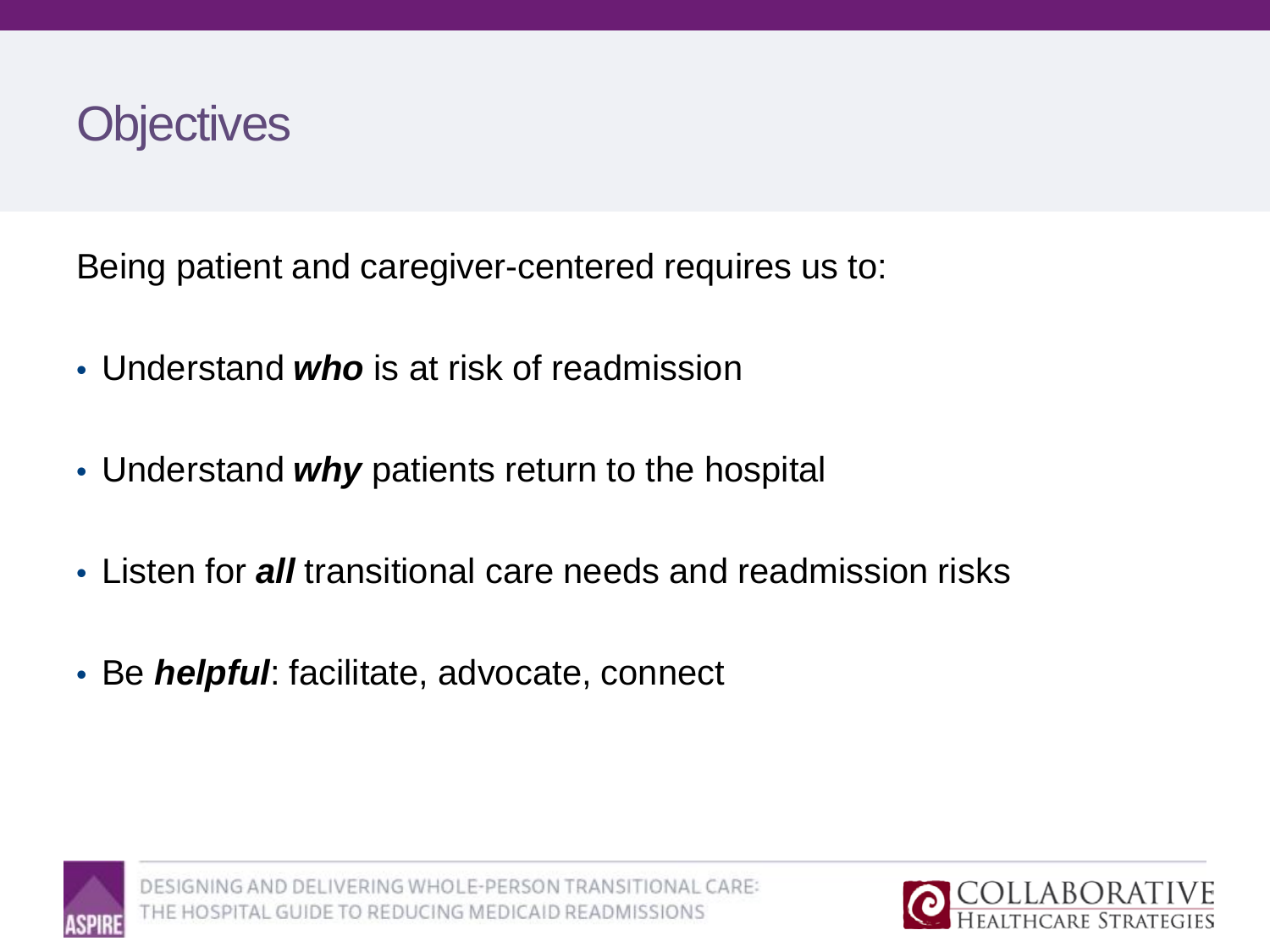

Being patient and caregiver-centered requires us to:

- Understand *who* is at risk of readmission
- Understand *why* patients return to the hospital
- Listen for *all* transitional care needs and readmission risks
- Be *helpful*: facilitate, advocate, connect



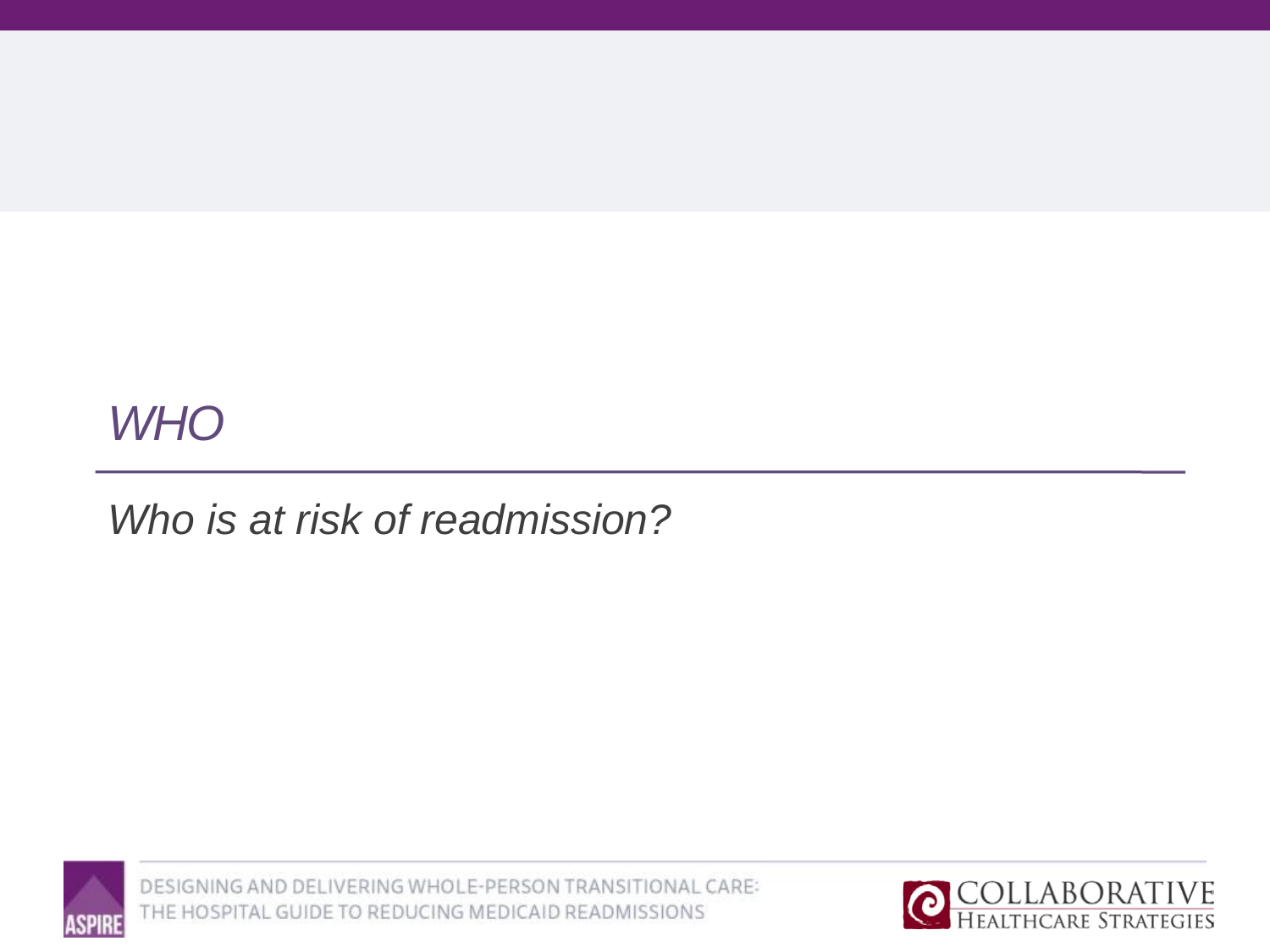## *WHO*

## *Who is at risk of readmission?*



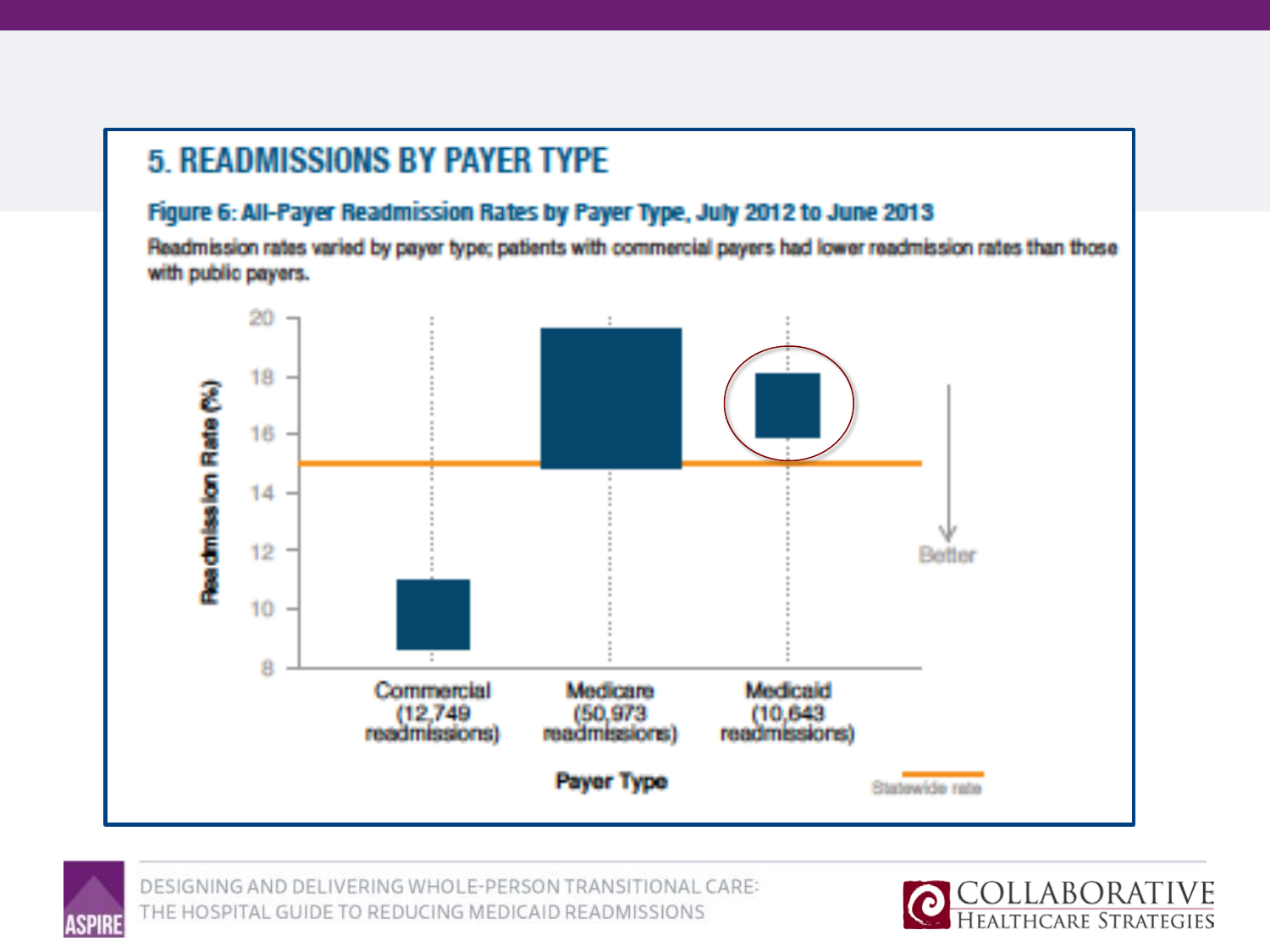### **5. READMISSIONS BY PAYER TYPE**

### Figure 6: All-Payer Readmission Rates by Payer Type, July 2012 to June 2013

Readmission rates varied by payer type; patients with commercial payers had lower readmission rates than those with public payers.





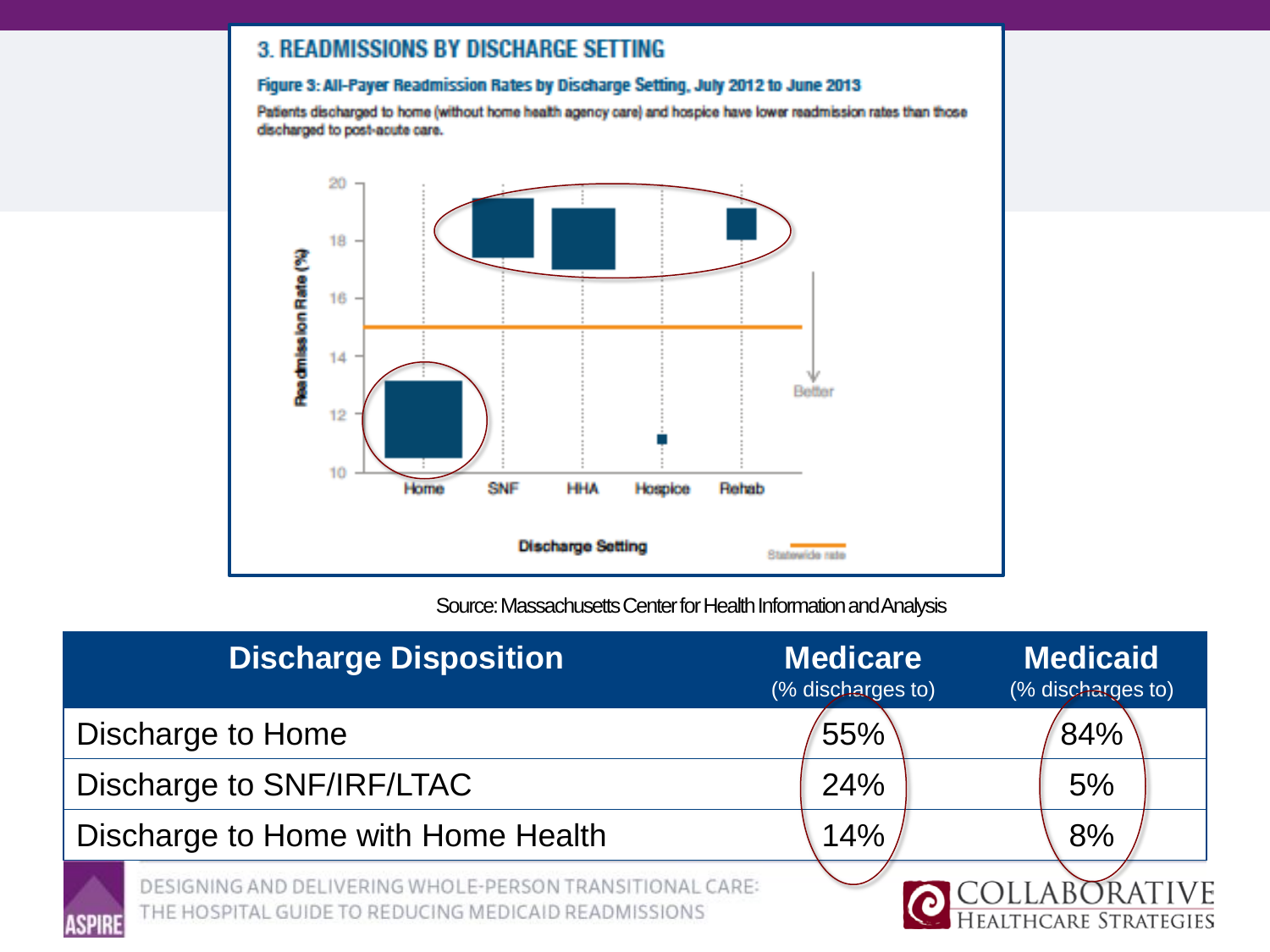### **3. READMISSIONS BY DISCHARGE SETTING**

### Figure 3: All-Payer Readmission Rates by Discharge Setting, July 2012 to June 2013

Patients discharged to home (without home health agency care) and hospice have lower readmission rates than those discharged to post-acute care.



Source: Massachusetts Center for Health Information and Analysis

| <b>Discharge Disposition</b>                                                                                     | <b>Medicare</b><br>(% discharges to) | <b>Medicaid</b><br>(% discharges to)   |
|------------------------------------------------------------------------------------------------------------------|--------------------------------------|----------------------------------------|
| Discharge to Home                                                                                                | 55%                                  | 84%                                    |
| Discharge to SNF/IRF/LTAC                                                                                        | 24%                                  | 5%                                     |
| Discharge to Home with Home Health                                                                               | 14%                                  | 8%                                     |
| DESIGNING AND DELIVERING WHOLE-PERSON TRANSITIONAL CARE:<br>THE HOSPITAL GUIDE TO REDUCING MEDICAID READMISSIONS |                                      | COLLABORATIVE<br>HEALTHCARE STRATEGIES |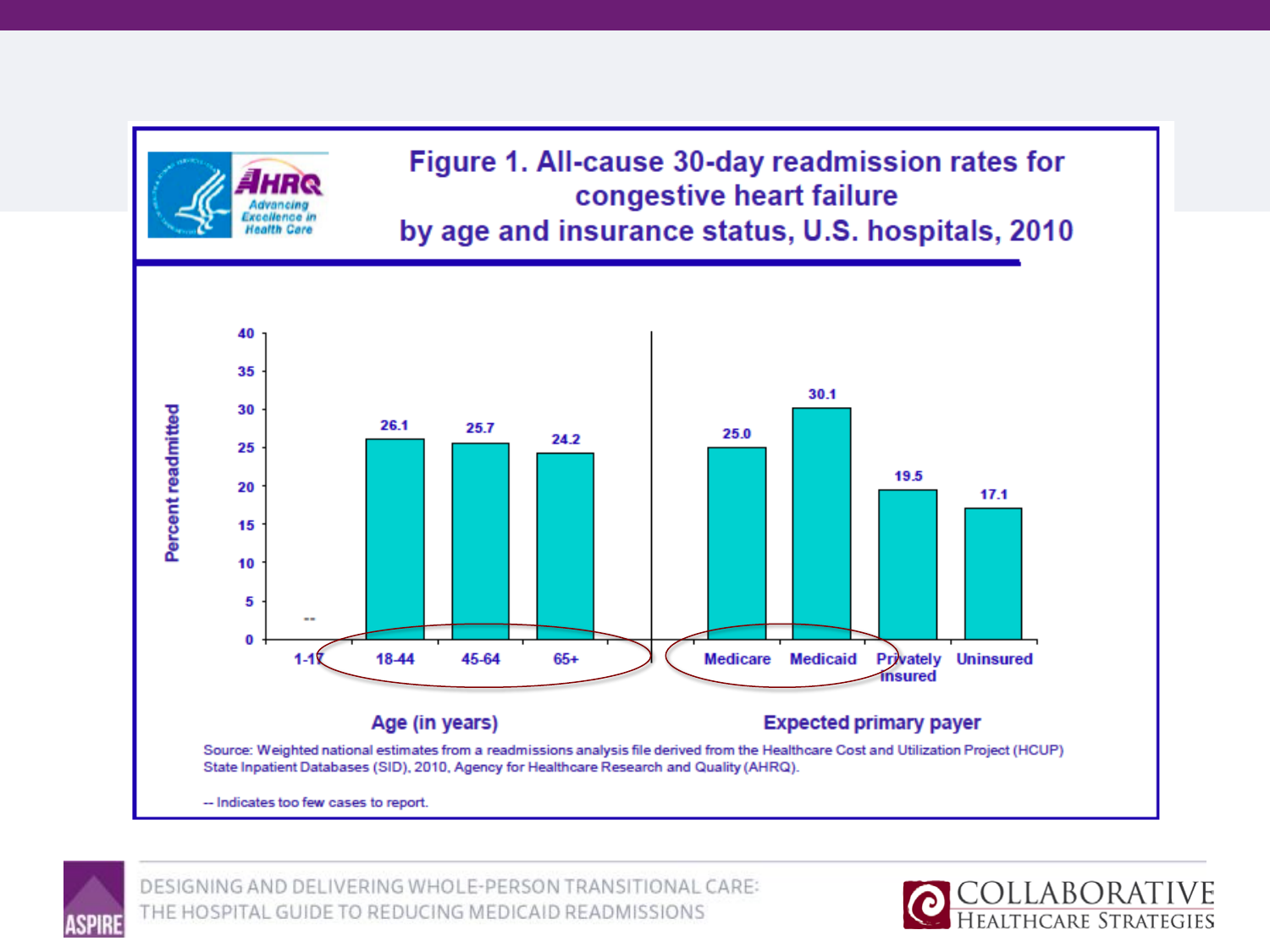



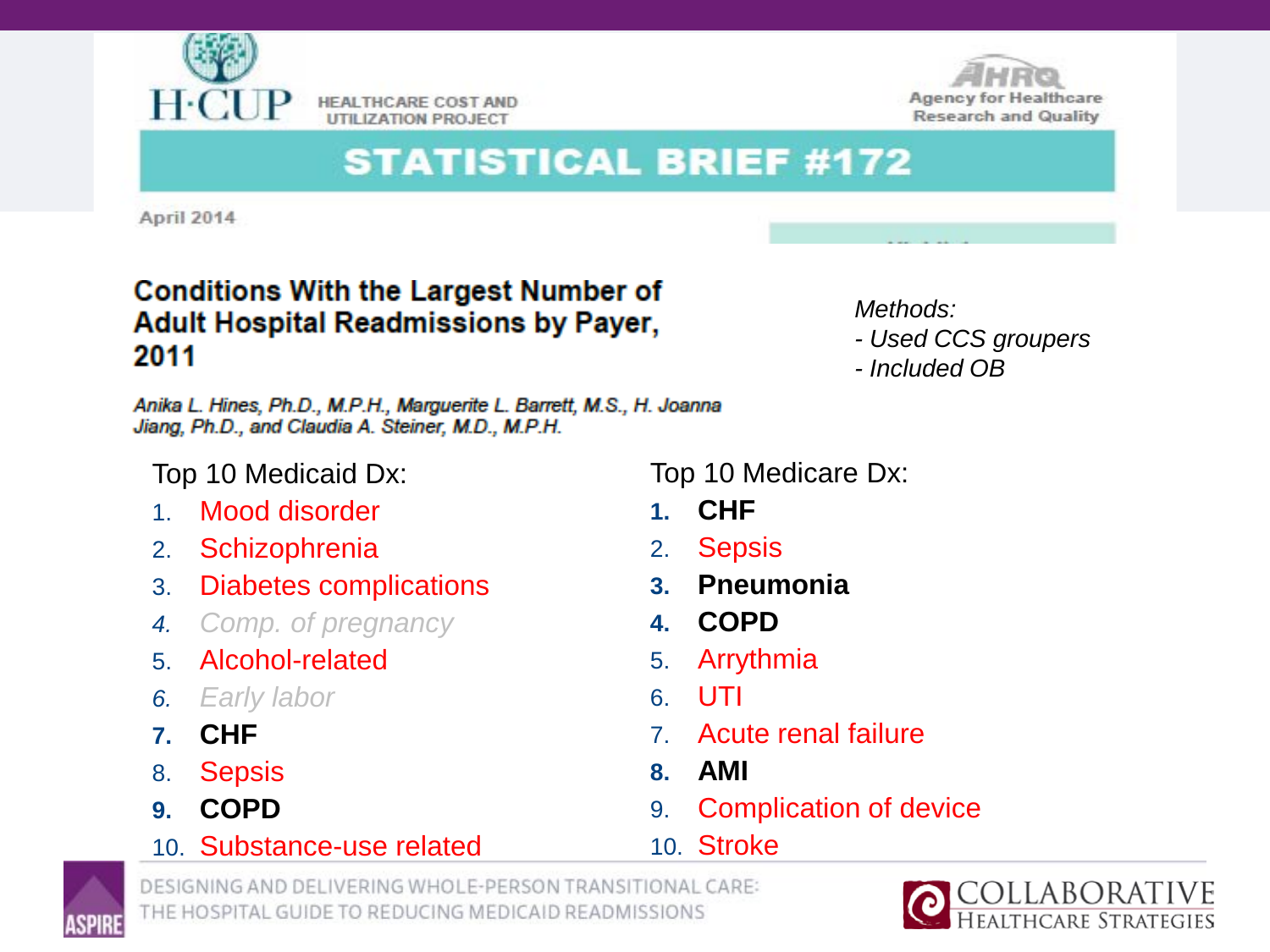

**HEALTHCARE COST AND UTILIZATION PROJECT** 



## **STATISTICAL BRIEF #172**

**April 2014** 

### **Conditions With the Largest Number of Adult Hospital Readmissions by Payer,** 2011

*Methods: - Used CCS groupers - Included OB*

Anika L. Hines, Ph.D., M.P.H., Marguerite L. Barrett, M.S., H. Joanna Jiang, Ph.D., and Claudia A. Steiner, M.D., M.P.H.

Top 10 Medicaid Dx:

- 1. Mood disorder
- 2. Schizophrenia
- 3. Diabetes complications
- *4. Comp. of pregnancy*
- 5. Alcohol-related
- *6. Early labor*
- **7. CHF**
- 8. Sepsis
- **9. COPD**

Top 10 Medicare Dx:

- **1. CHF**
- 2. Sepsis
- **3. Pneumonia**
- **4. COPD**
- 5. Arrythmia
- 6. UTI
- 7. Acute renal failure
- **8. AMI**

10. Stroke

9. Complication of device

10. Substance-use related





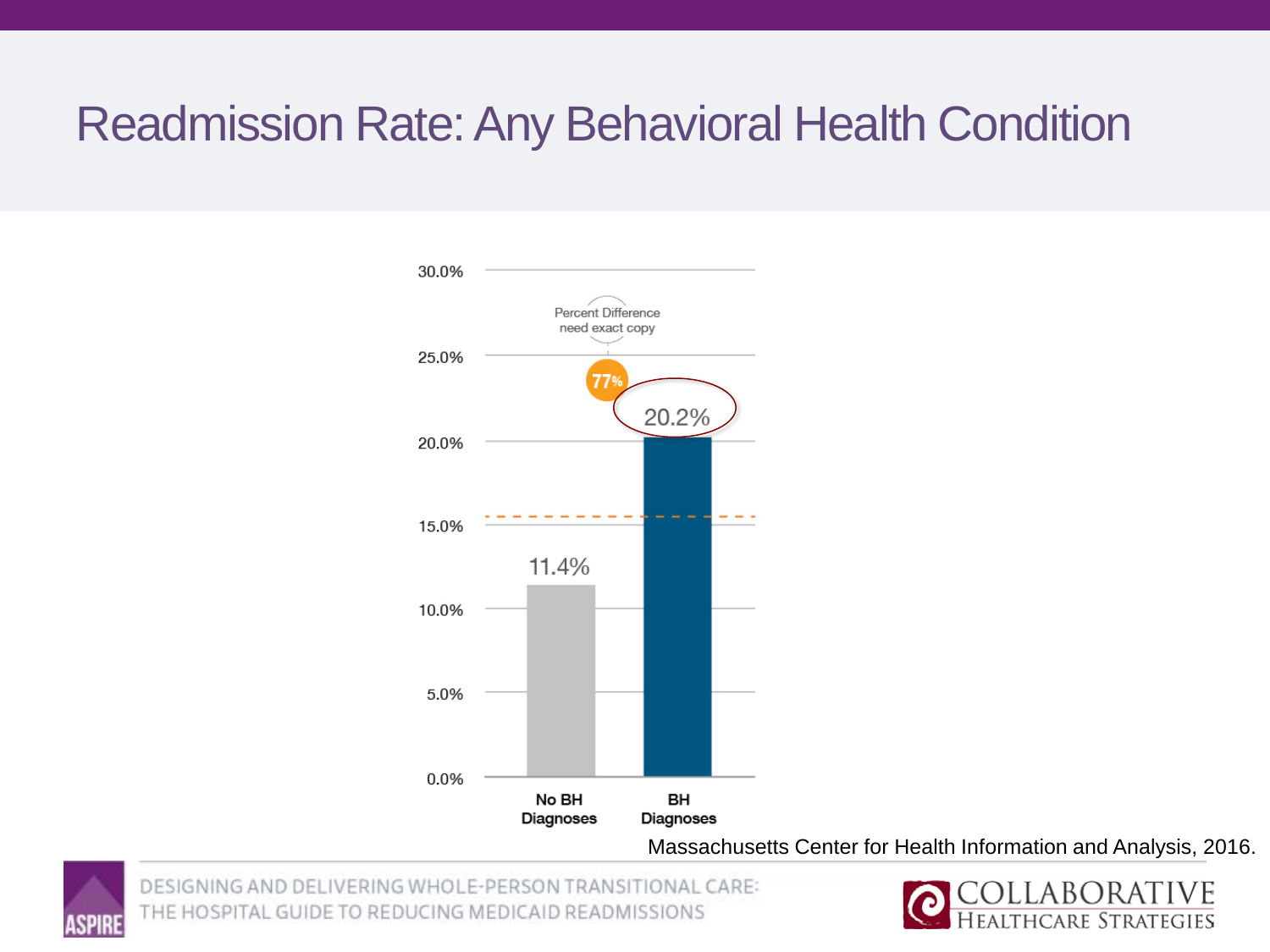## Readmission Rate: Any Behavioral Health Condition



Massachusetts Center for Health Information and Analysis, 2016.



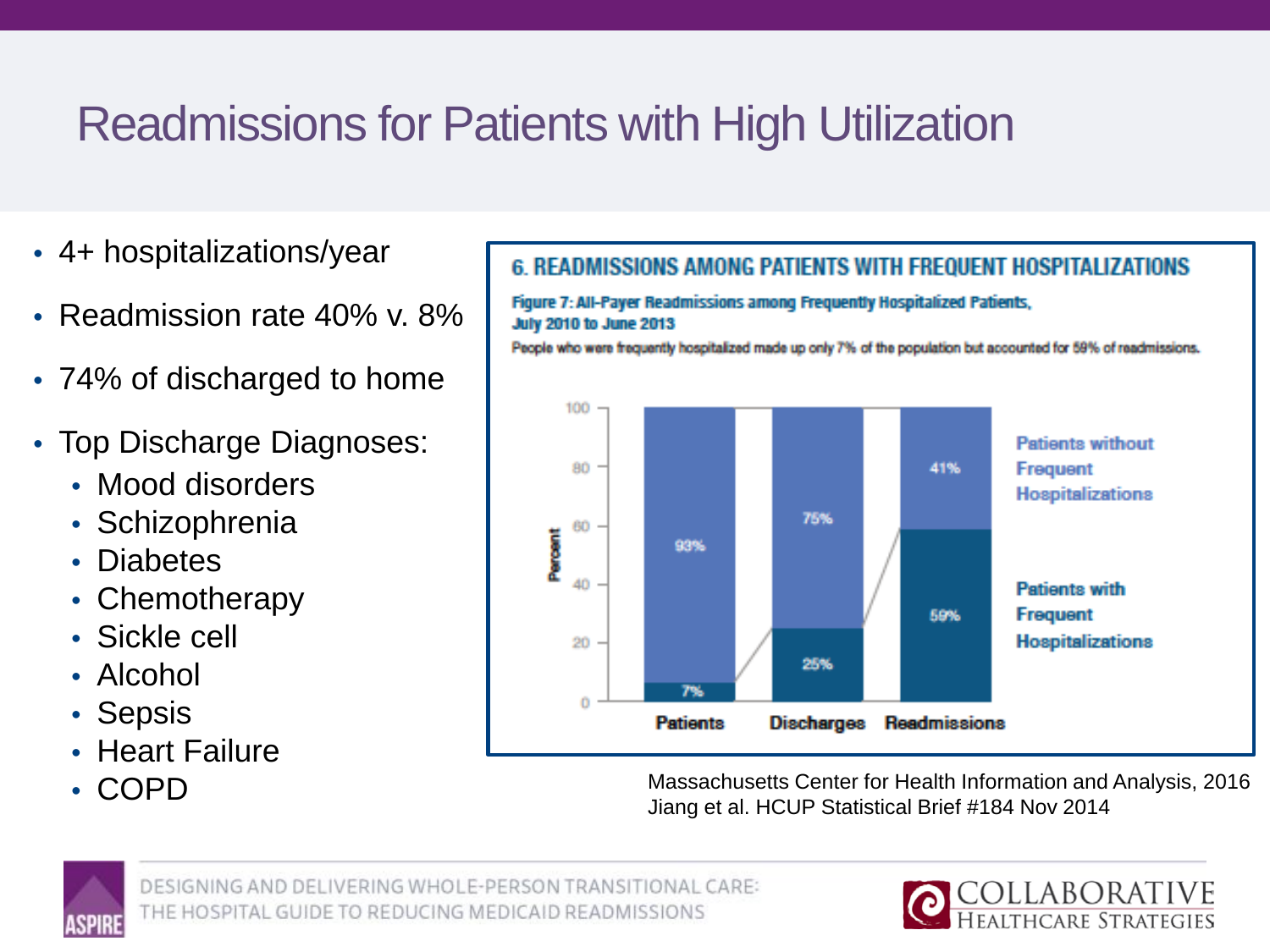# Readmissions for Patients with High Utilization

- 4+ hospitalizations/year
- Readmission rate 40% v. 8%
- 74% of discharged to home
- Top Discharge Diagnoses:
	- Mood disorders
	- Schizophrenia
	- Diabetes
	- Chemotherapy
	- Sickle cell
	- Alcohol
	- Sepsis
	- Heart Failure
	-

### **6. READMISSIONS AMONG PATIENTS WITH FREQUENT HOSPITALIZATIONS**

Figure 7: All-Payer Readmissions among Frequently Hospitalized Patients, **July 2010 to June 2013** 

People who were frequently hospitalized made up only 7% of the population but accounted for 59% of readmissions.



• COPD **COPD** Massachusetts Center for Health Information and Analysis, 2016 Jiang et al. HCUP Statistical Brief #184 Nov 2014



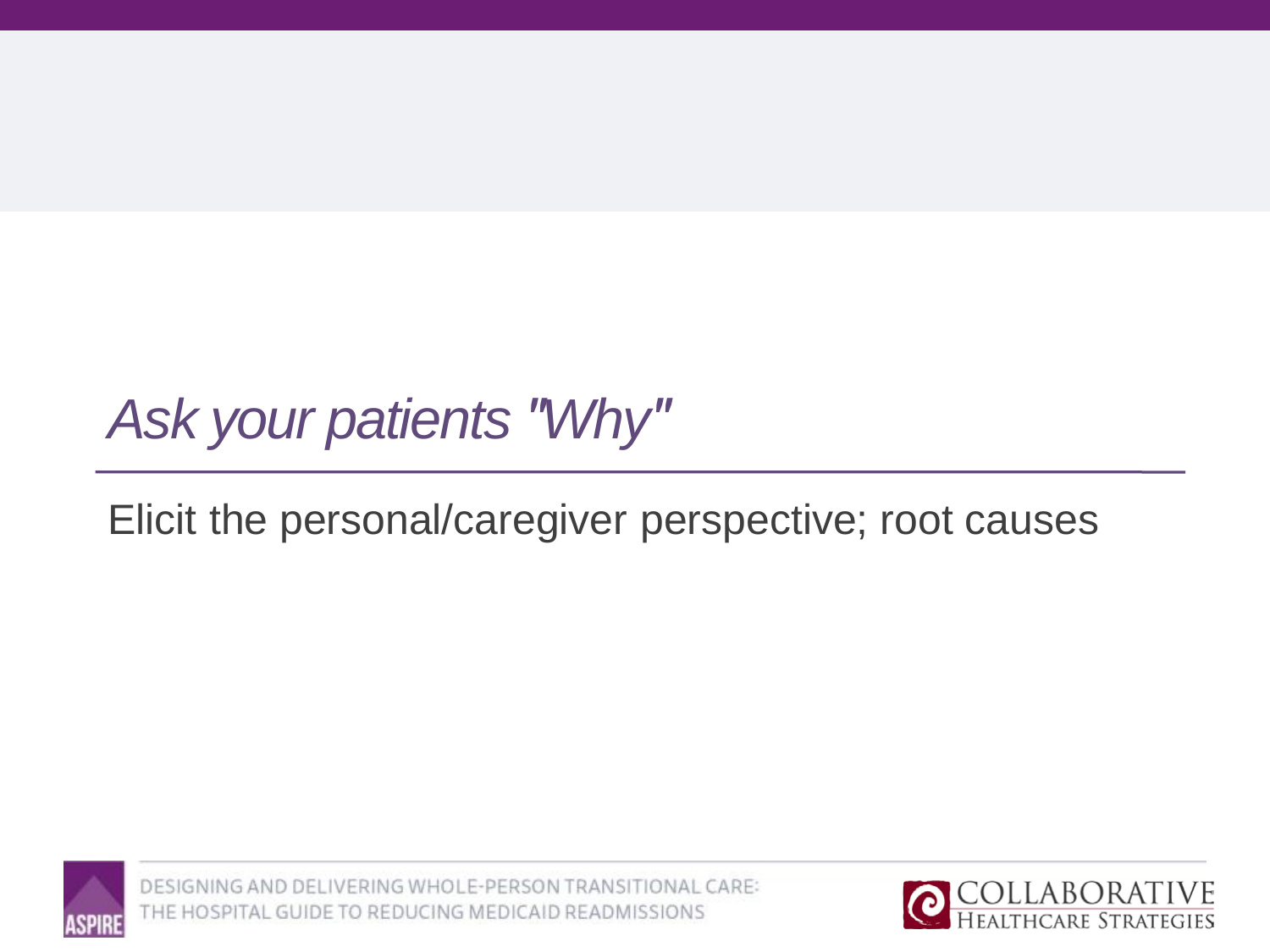# *Ask your patients "Why"*

## Elicit the personal/caregiver perspective; root causes



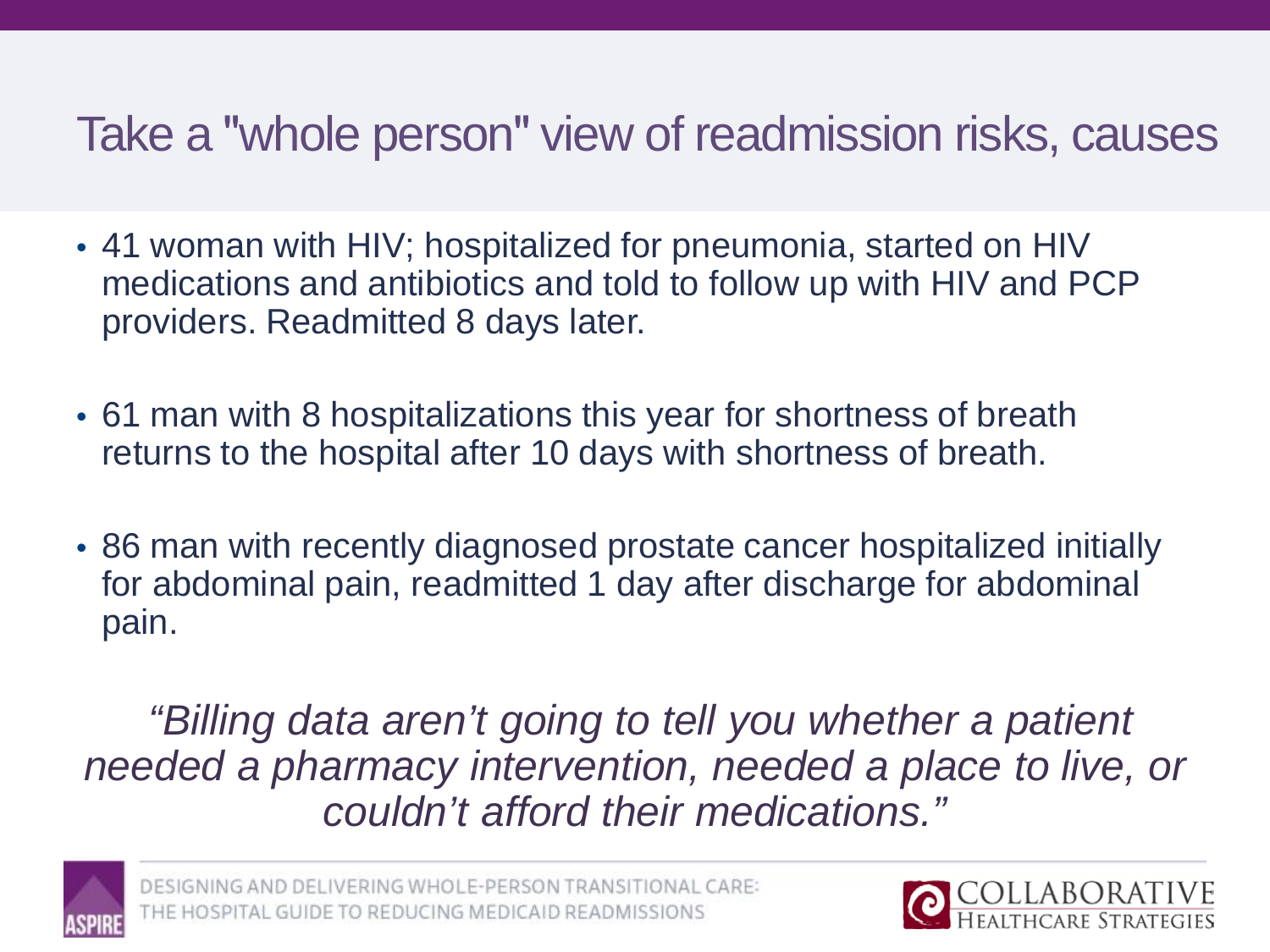## Take a "whole person" view of readmission risks, causes

- 41 woman with HIV; hospitalized for pneumonia, started on HIV medications and antibiotics and told to follow up with HIV and PCP providers. Readmitted 8 days later.
- 61 man with 8 hospitalizations this year for shortness of breath returns to the hospital after 10 days with shortness of breath.
- 86 man with recently diagnosed prostate cancer hospitalized initially for abdominal pain, readmitted 1 day after discharge for abdominal pain.

*"Billing data aren't going to tell you whether a patient needed a pharmacy intervention, needed a place to live, or couldn't afford their medications."* 



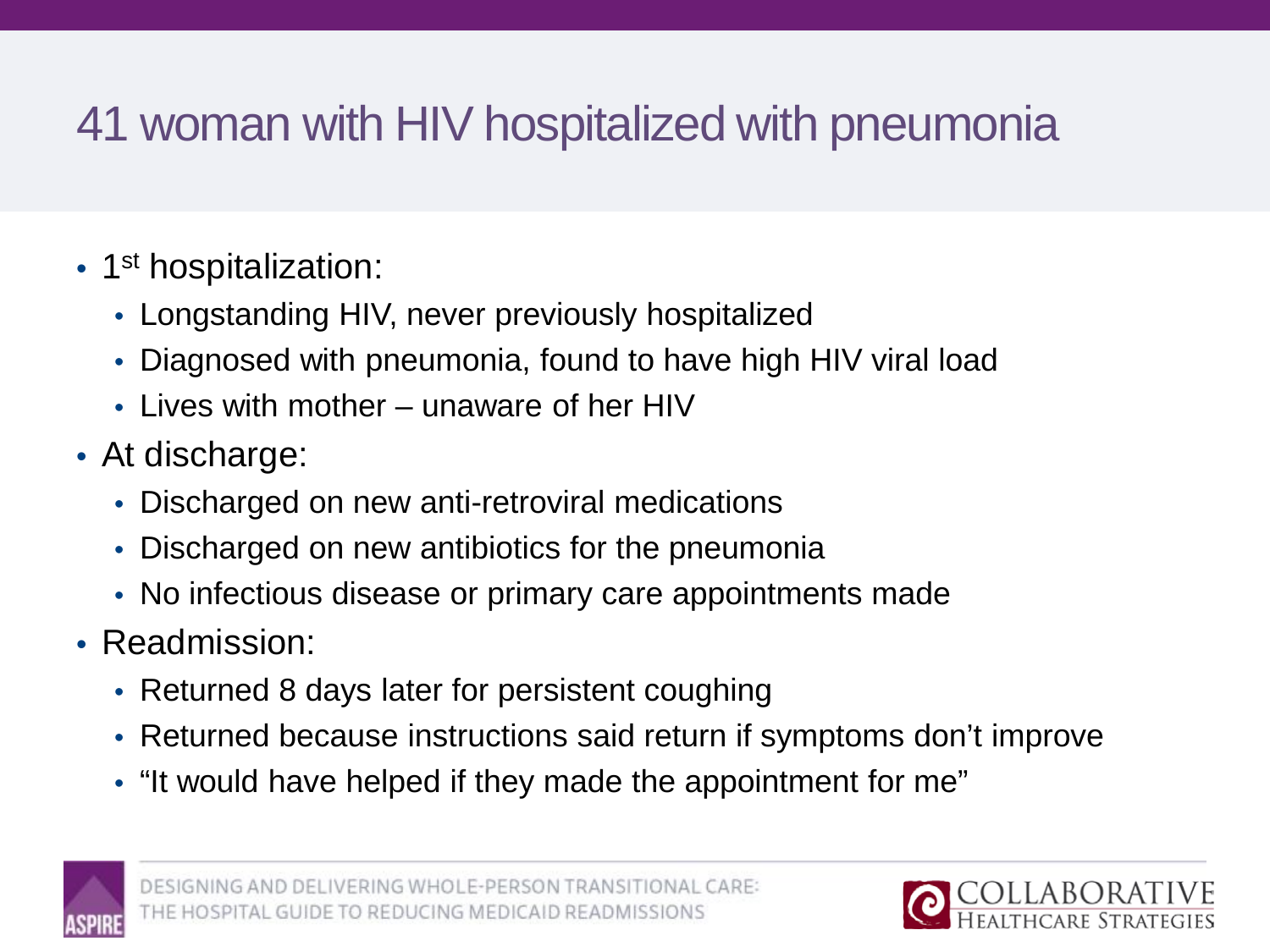# 41 woman with HIV hospitalized with pneumonia

- 1<sup>st</sup> hospitalization:
	- Longstanding HIV, never previously hospitalized
	- Diagnosed with pneumonia, found to have high HIV viral load
	- Lives with mother unaware of her HIV
- At discharge:
	- Discharged on new anti-retroviral medications
	- Discharged on new antibiotics for the pneumonia
	- No infectious disease or primary care appointments made
- Readmission:
	- Returned 8 days later for persistent coughing
	- Returned because instructions said return if symptoms don't improve
	- "It would have helped if they made the appointment for me"



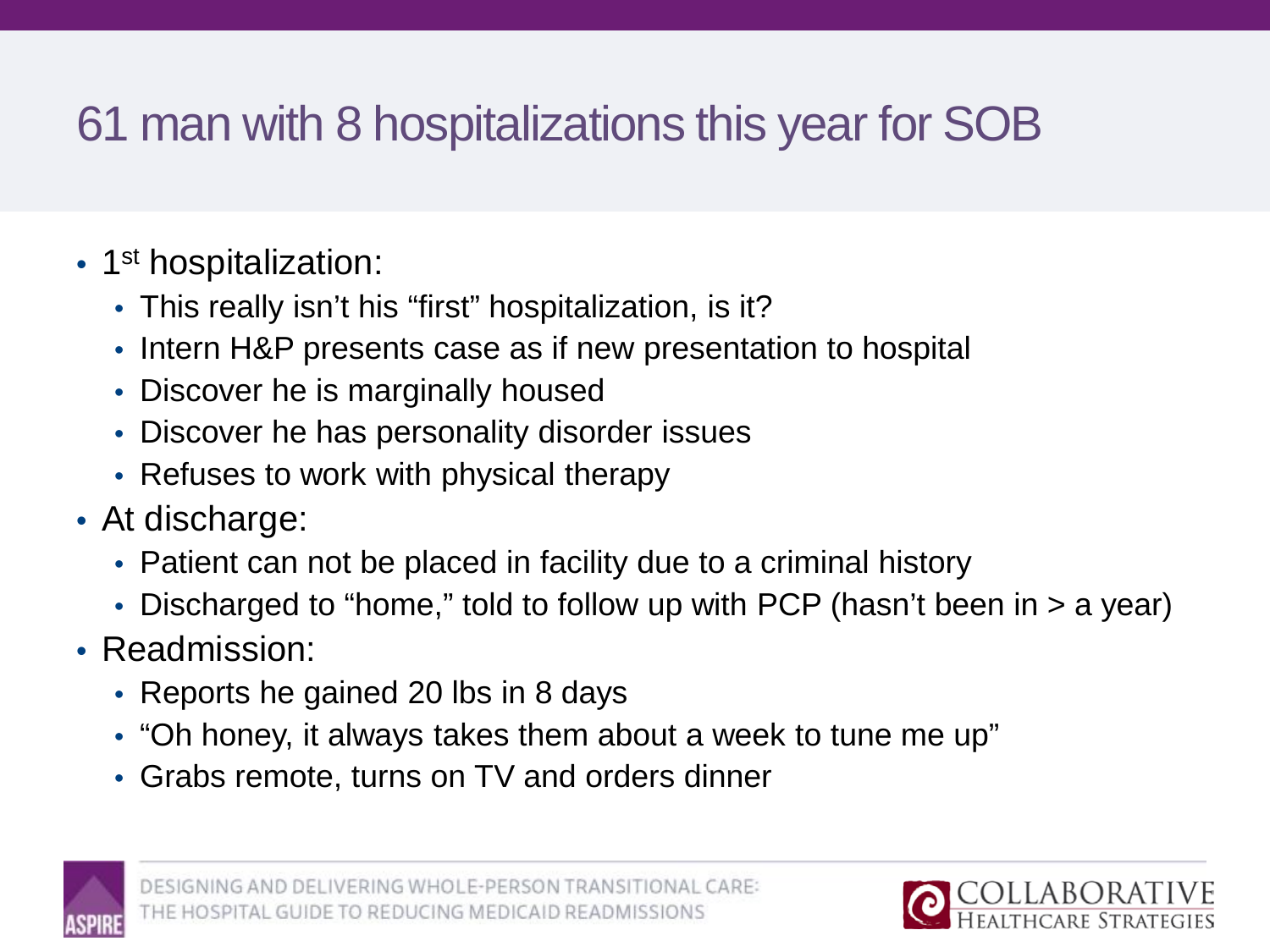# 61 man with 8 hospitalizations this year for SOB

- 1<sup>st</sup> hospitalization:
	- This really isn't his "first" hospitalization, is it?
	- Intern H&P presents case as if new presentation to hospital
	- Discover he is marginally housed
	- Discover he has personality disorder issues
	- Refuses to work with physical therapy
- At discharge:
	- Patient can not be placed in facility due to a criminal history
	- Discharged to "home," told to follow up with PCP (hasn't been in  $>$  a year)
- Readmission:
	- Reports he gained 20 lbs in 8 days
	- "Oh honey, it always takes them about a week to tune me up"
	- Grabs remote, turns on TV and orders dinner



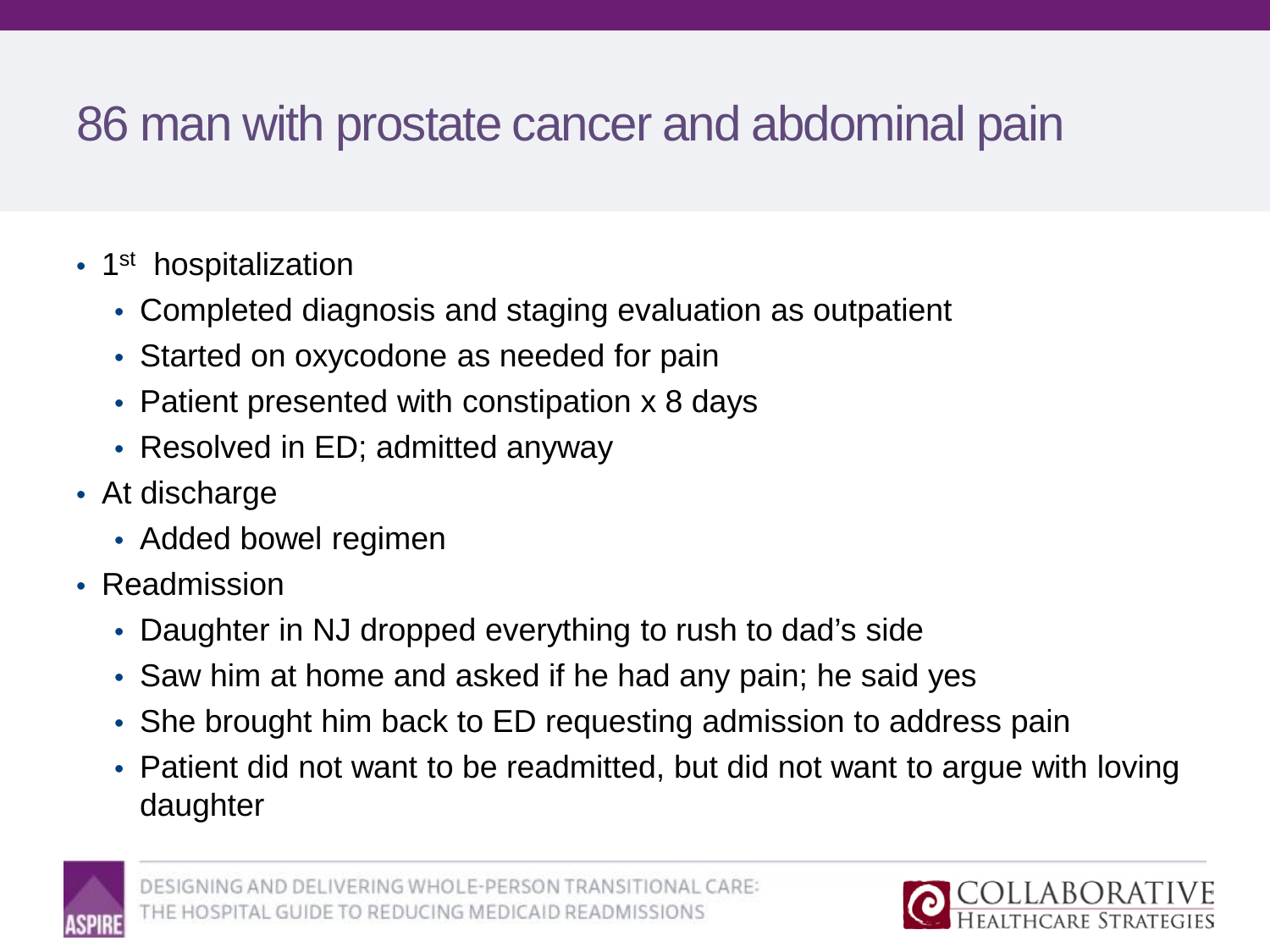## 86 man with prostate cancer and abdominal pain

- 1<sup>st</sup> hospitalization
	- Completed diagnosis and staging evaluation as outpatient
	- Started on oxycodone as needed for pain
	- Patient presented with constipation x 8 days
	- Resolved in ED; admitted anyway
- At discharge
	- Added bowel regimen
- Readmission
	- Daughter in NJ dropped everything to rush to dad's side
	- Saw him at home and asked if he had any pain; he said yes
	- She brought him back to ED requesting admission to address pain
	- Patient did not want to be readmitted, but did not want to argue with loving daughter



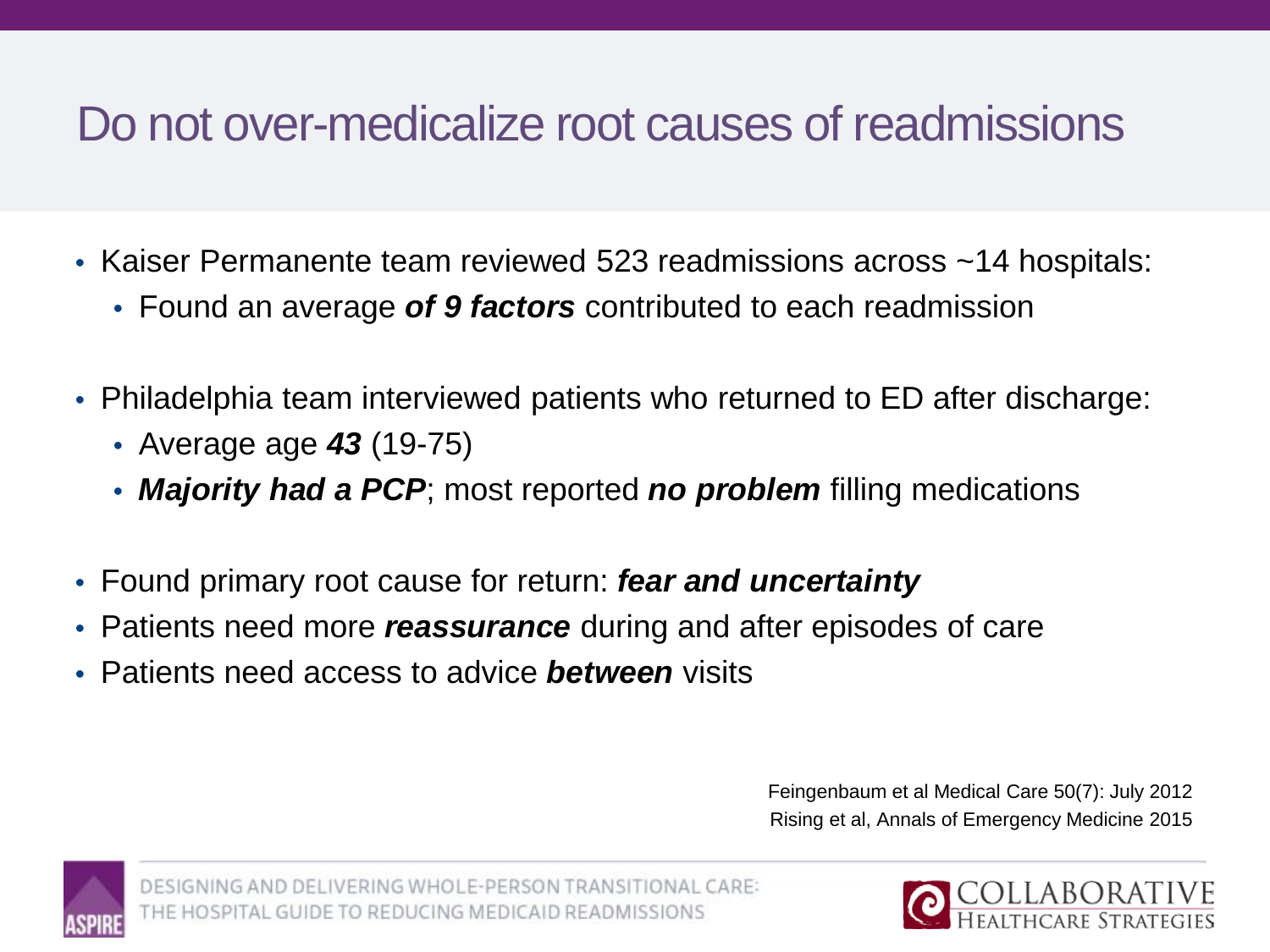## Do not over-medicalize root causes of readmissions

- Kaiser Permanente team reviewed 523 readmissions across ~14 hospitals:
	- Found an average *of 9 factors* contributed to each readmission
- Philadelphia team interviewed patients who returned to ED after discharge:
	- Average age *43* (19-75)
	- *Majority had a PCP*; most reported *no problem* filling medications
- Found primary root cause for return: *fear and uncertainty*
- Patients need more *reassurance* during and after episodes of care
- Patients need access to advice *between* visits

Feingenbaum et al Medical Care 50(7): July 2012 Rising et al, Annals of Emergency Medicine 2015



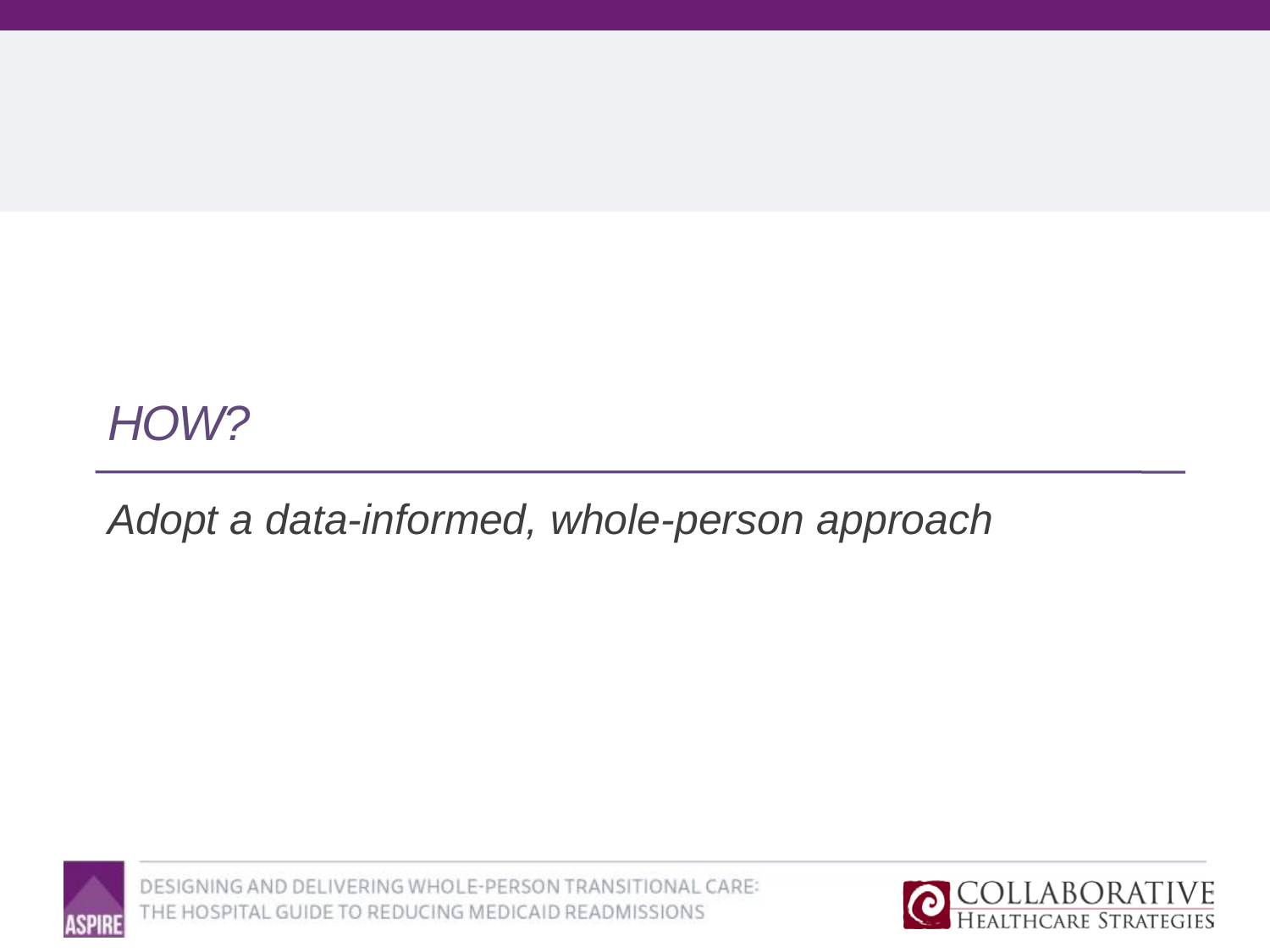## *HOW?*

## *Adopt a data-informed, whole-person approach*



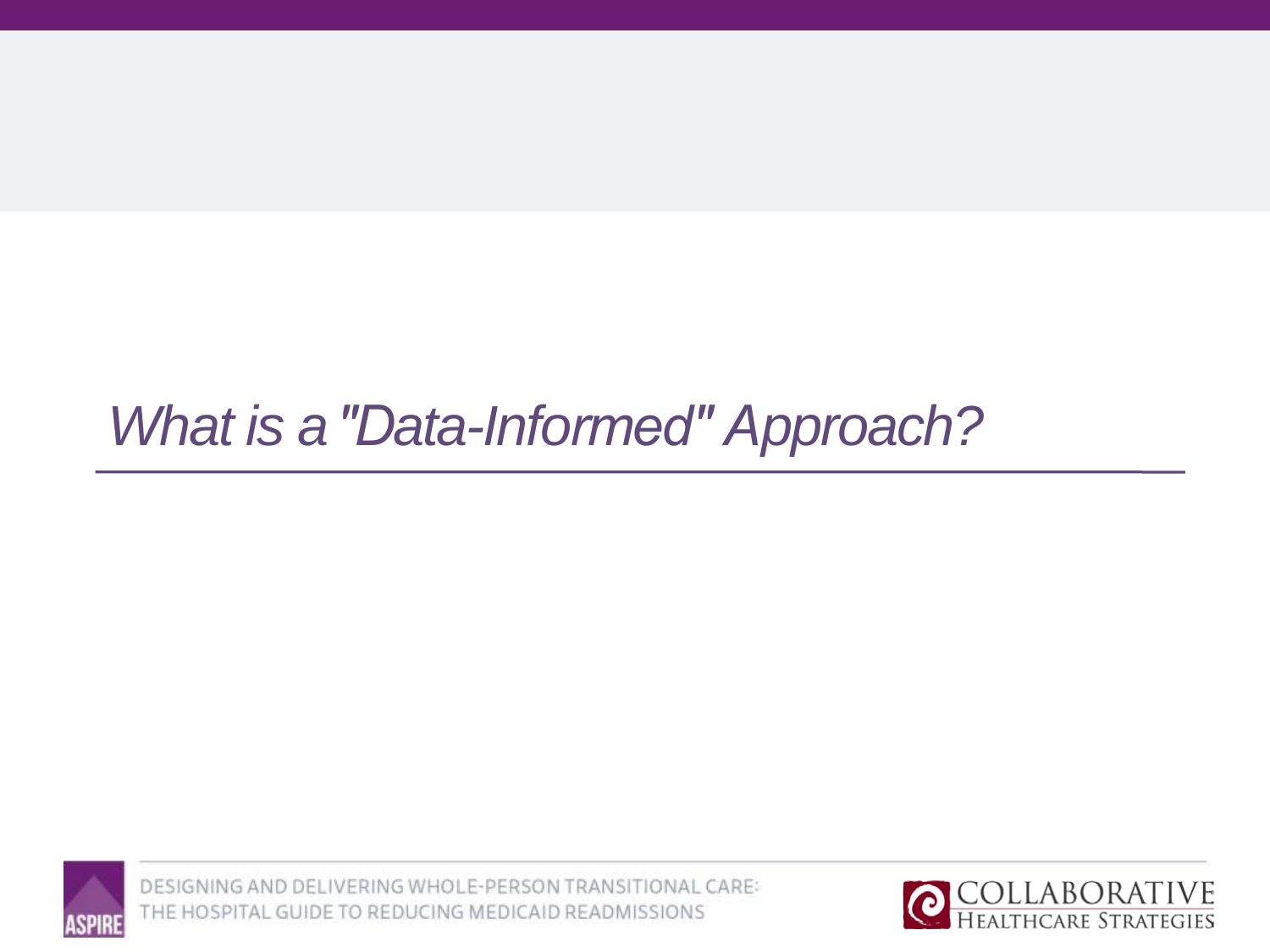# **What is a "Data-Informed" Approach?**



![](_page_17_Picture_3.jpeg)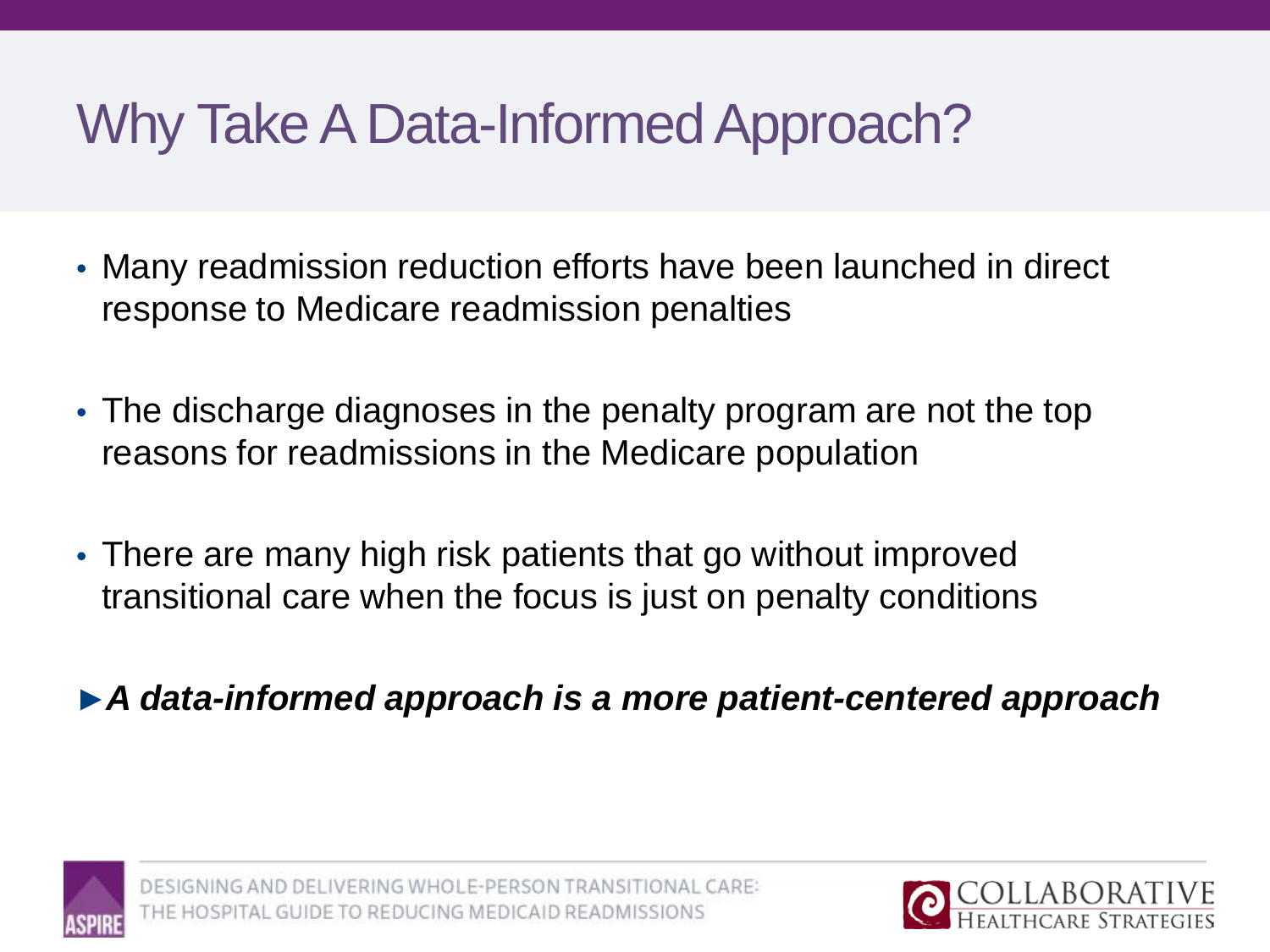# Why Take A Data-Informed Approach?

- Many readmission reduction efforts have been launched in direct response to Medicare readmission penalties
- The discharge diagnoses in the penalty program are not the top reasons for readmissions in the Medicare population
- There are many high risk patients that go without improved transitional care when the focus is just on penalty conditions
- ►*A data-informed approach is a more patient-centered approach*

![](_page_18_Picture_5.jpeg)

DELIVERING WHOLE-PERSON TRANSITIONAL CARE: IDE TO REDUCING MEDICAID READMISSIONS

![](_page_18_Picture_7.jpeg)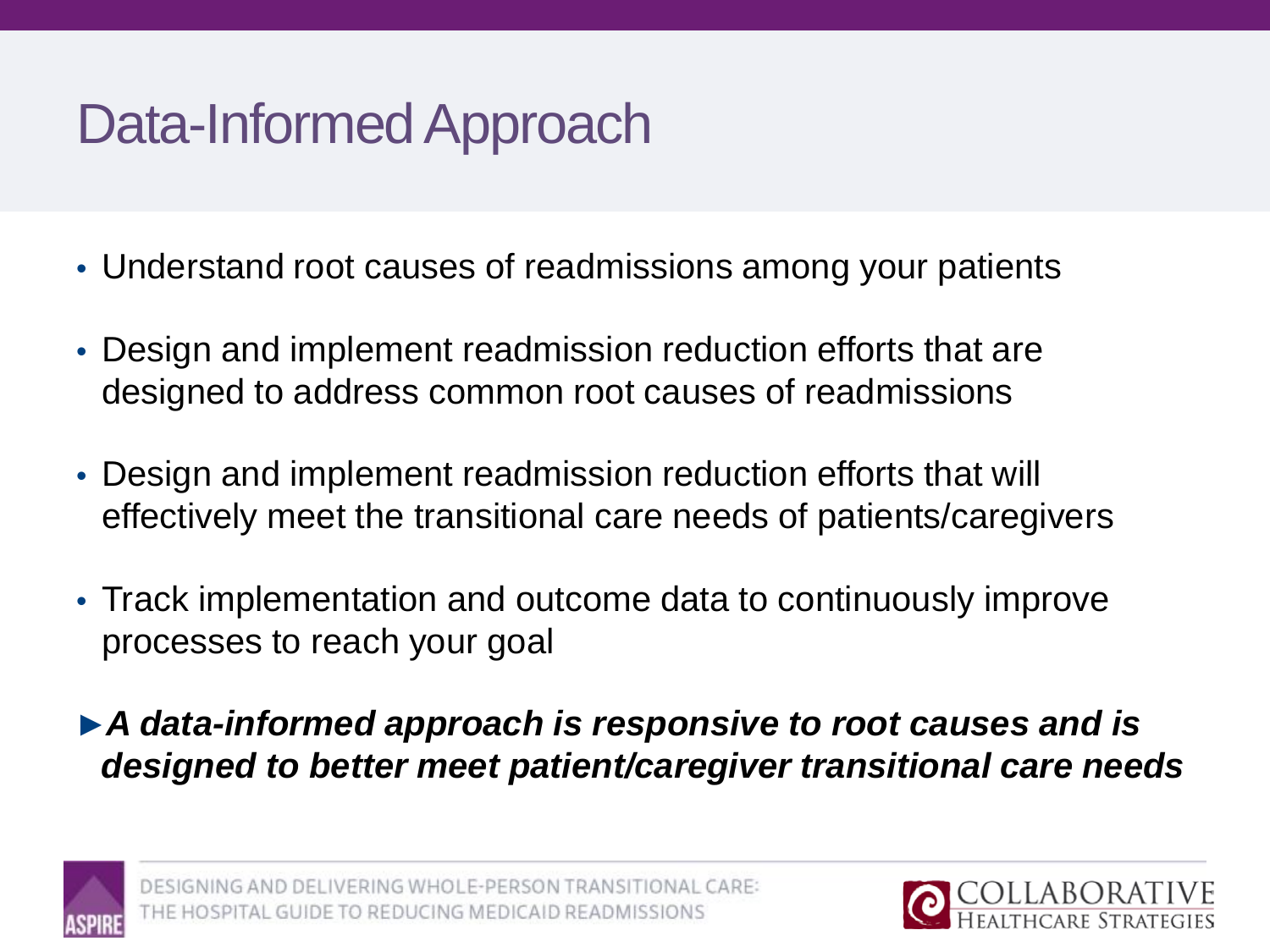# Data-Informed Approach

- Understand root causes of readmissions among your patients
- Design and implement readmission reduction efforts that are designed to address common root causes of readmissions
- Design and implement readmission reduction efforts that will effectively meet the transitional care needs of patients/caregivers
- Track implementation and outcome data to continuously improve processes to reach your goal
- ►*A data-informed approach is responsive to root causes and is designed to better meet patient/caregiver transitional care needs*

![](_page_19_Picture_6.jpeg)

![](_page_19_Picture_8.jpeg)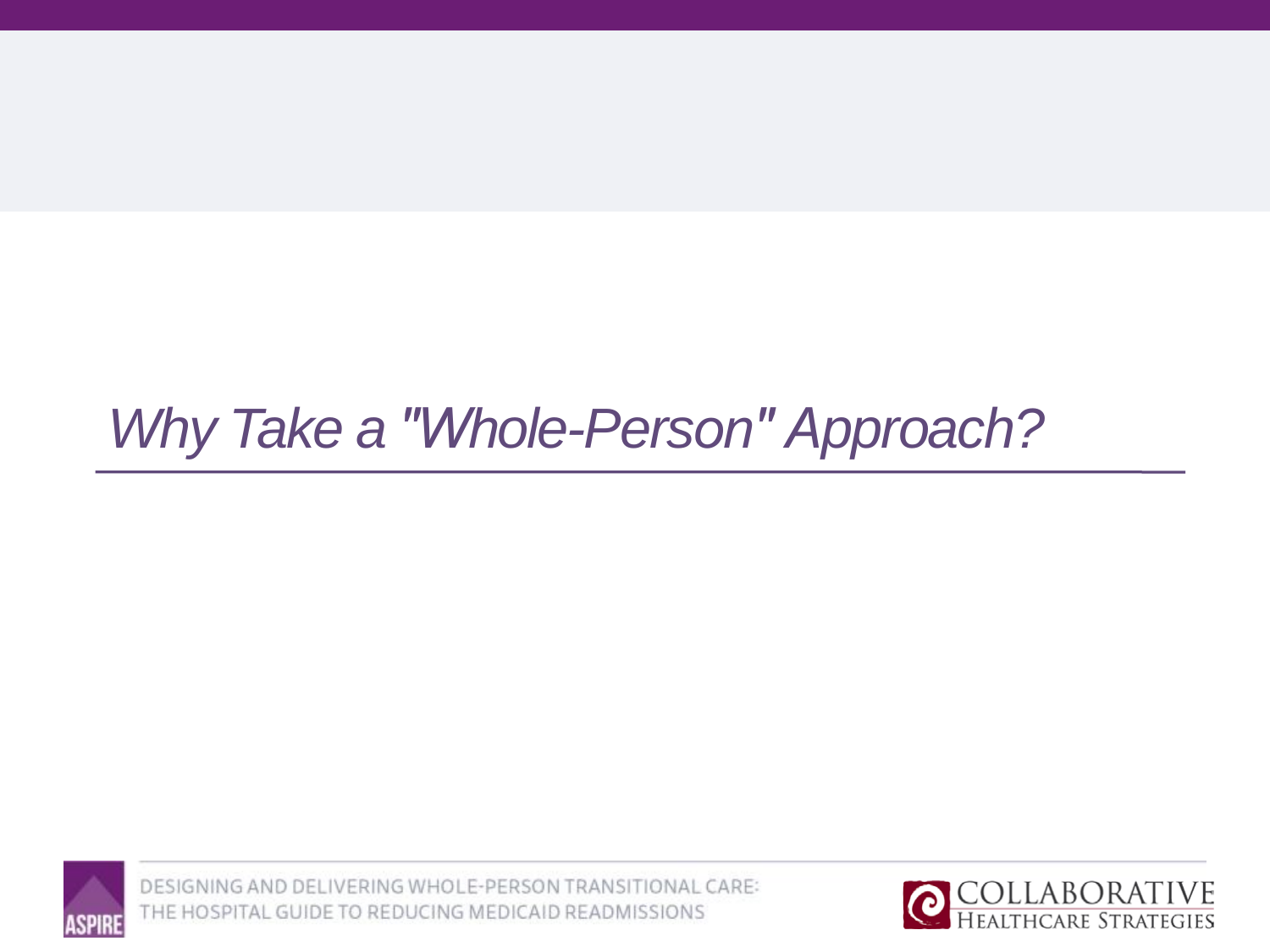# Why Take a "Whole-Person" Approach?

![](_page_20_Picture_1.jpeg)

![](_page_20_Picture_3.jpeg)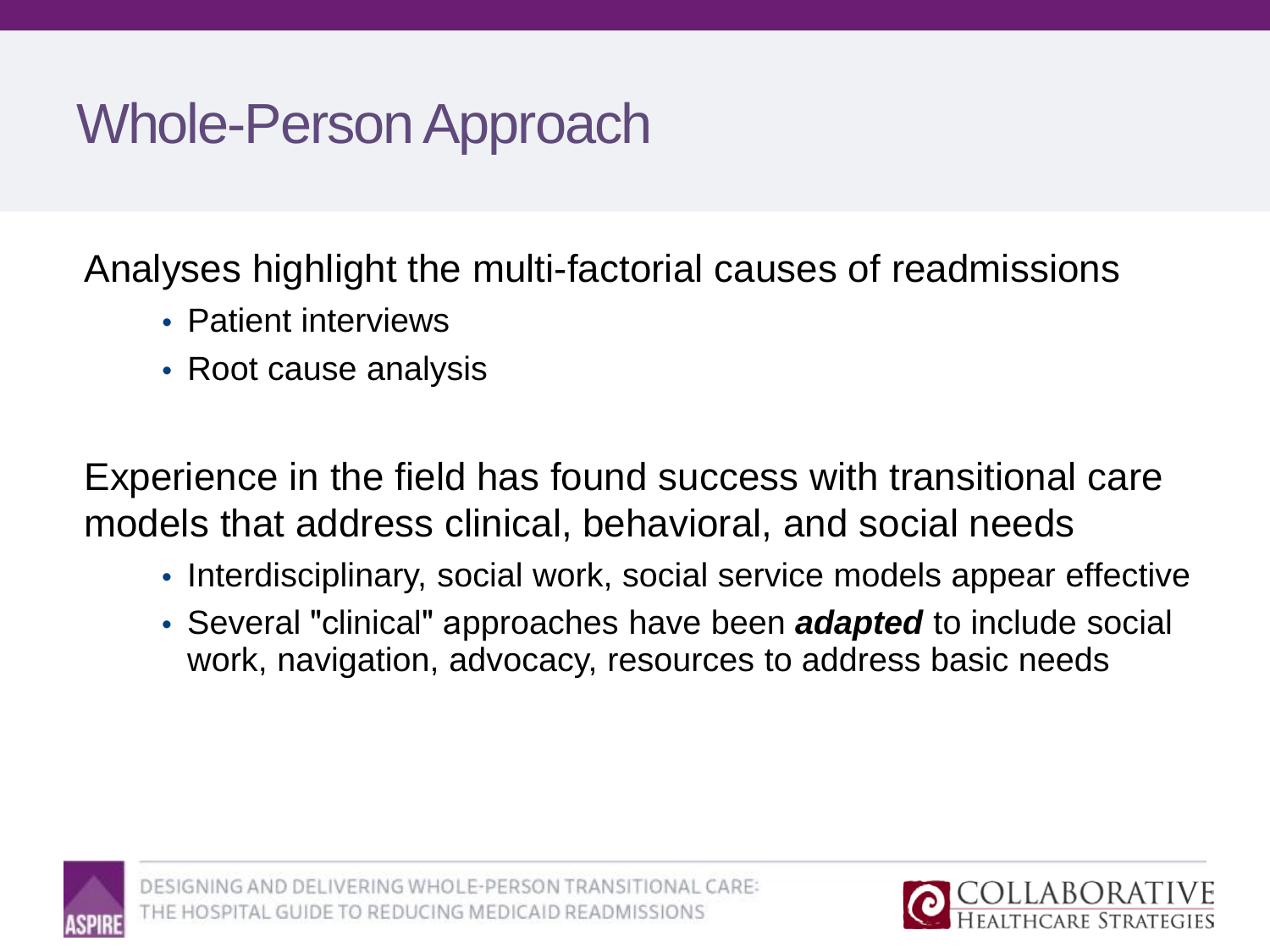# Whole-Person Approach

Analyses highlight the multi-factorial causes of readmissions

- Patient interviews
- Root cause analysis

Experience in the field has found success with transitional care models that address clinical, behavioral, and social needs

- Interdisciplinary, social work, social service models appear effective
- Several "clinical" approaches have been *adapted* to include social work, navigation, advocacy, resources to address basic needs

![](_page_21_Picture_7.jpeg)

![](_page_21_Picture_9.jpeg)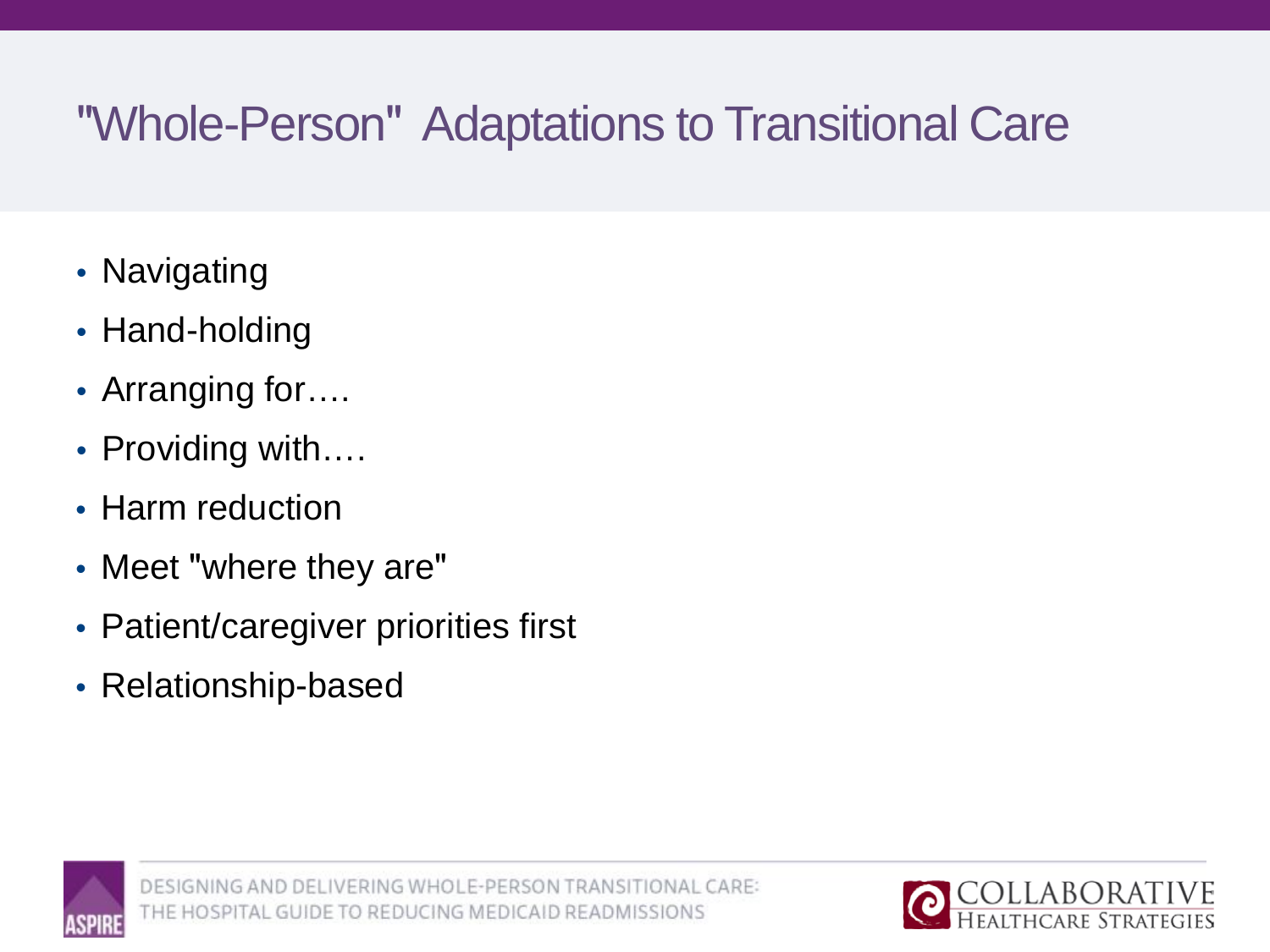## "Whole-Person" Adaptations to Transitional Care

- Navigating
- Hand-holding
- Arranging for....
- Providing with....
- Harm reduction
- Meet "where they are"
- Patient/caregiver priorities first
- Relationship-based

![](_page_22_Picture_9.jpeg)

![](_page_22_Picture_11.jpeg)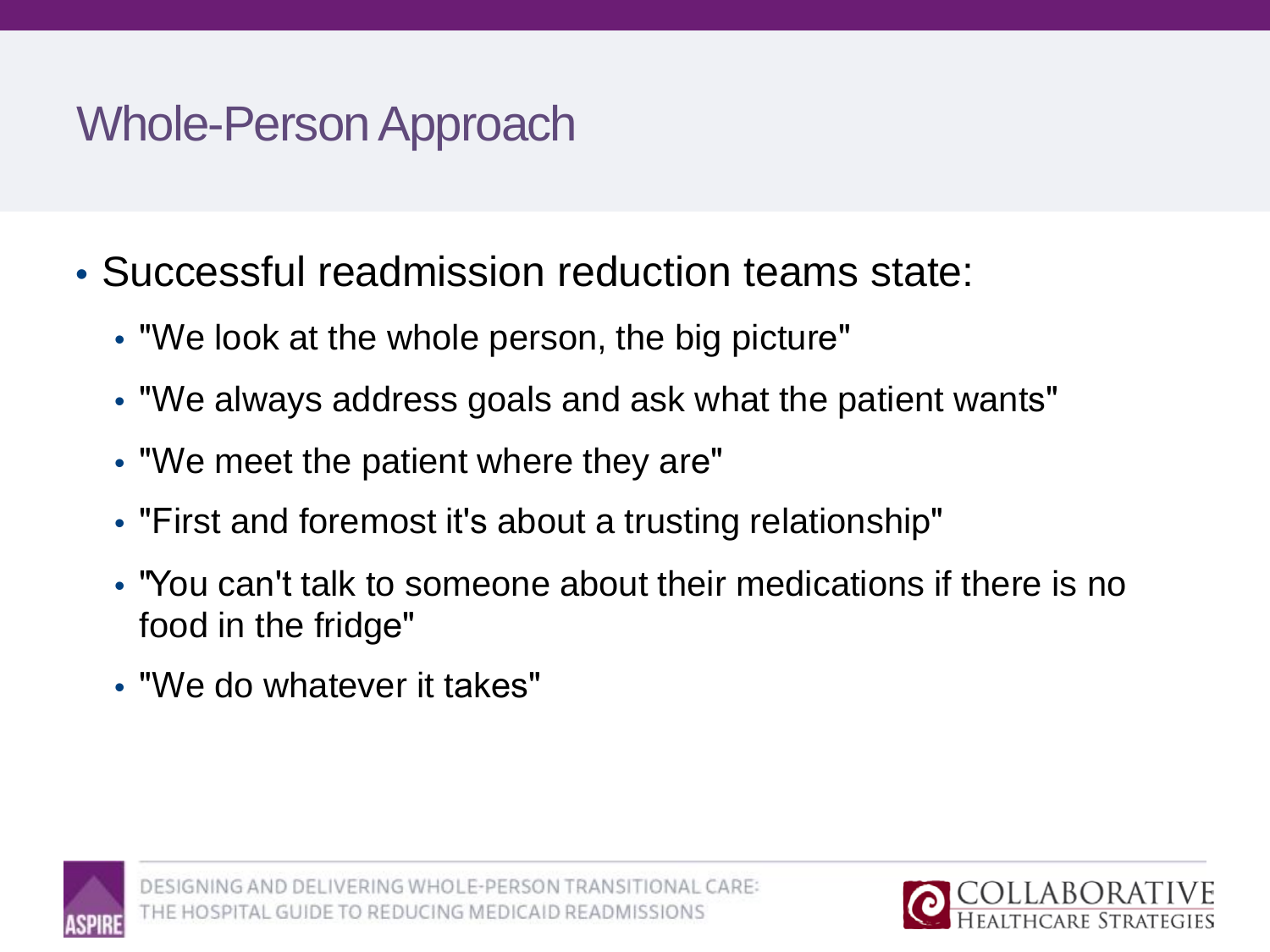## Whole-Person Approach

- Successful readmission reduction teams state:
	- "We look at the whole person, the big picture"
	- "We always address goals and ask what the patient wants"
	- "We meet the patient where they are"
	- "First and foremost it's about a trusting relationship"
	- "You can't talk to someone about their medications if there is no food in the fridge"
	- "We do whatever it takes"

![](_page_23_Picture_8.jpeg)

![](_page_23_Picture_10.jpeg)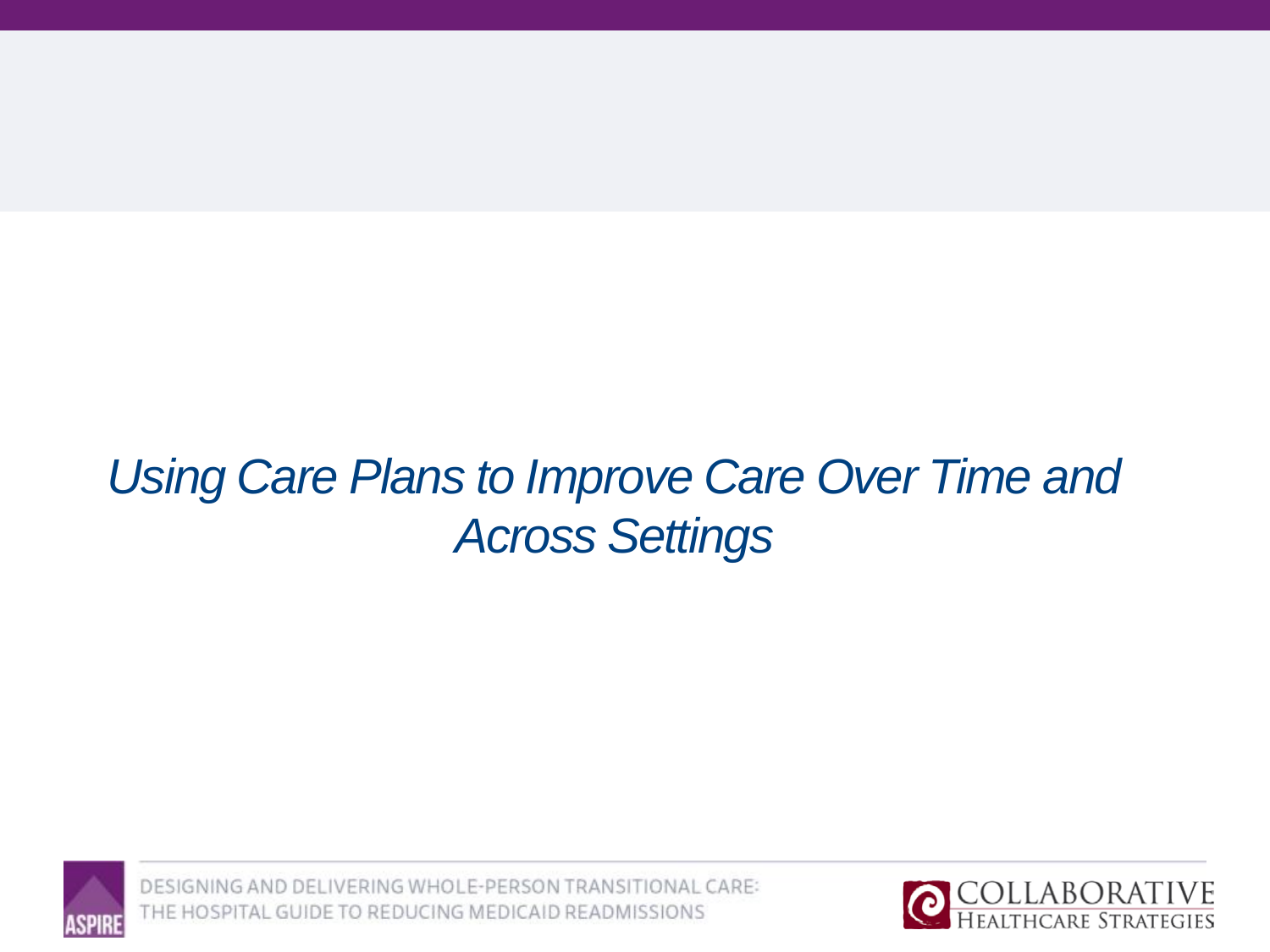## *Using Care Plans to Improve Care Over Time and Across Settings*

![](_page_24_Picture_1.jpeg)

![](_page_24_Picture_3.jpeg)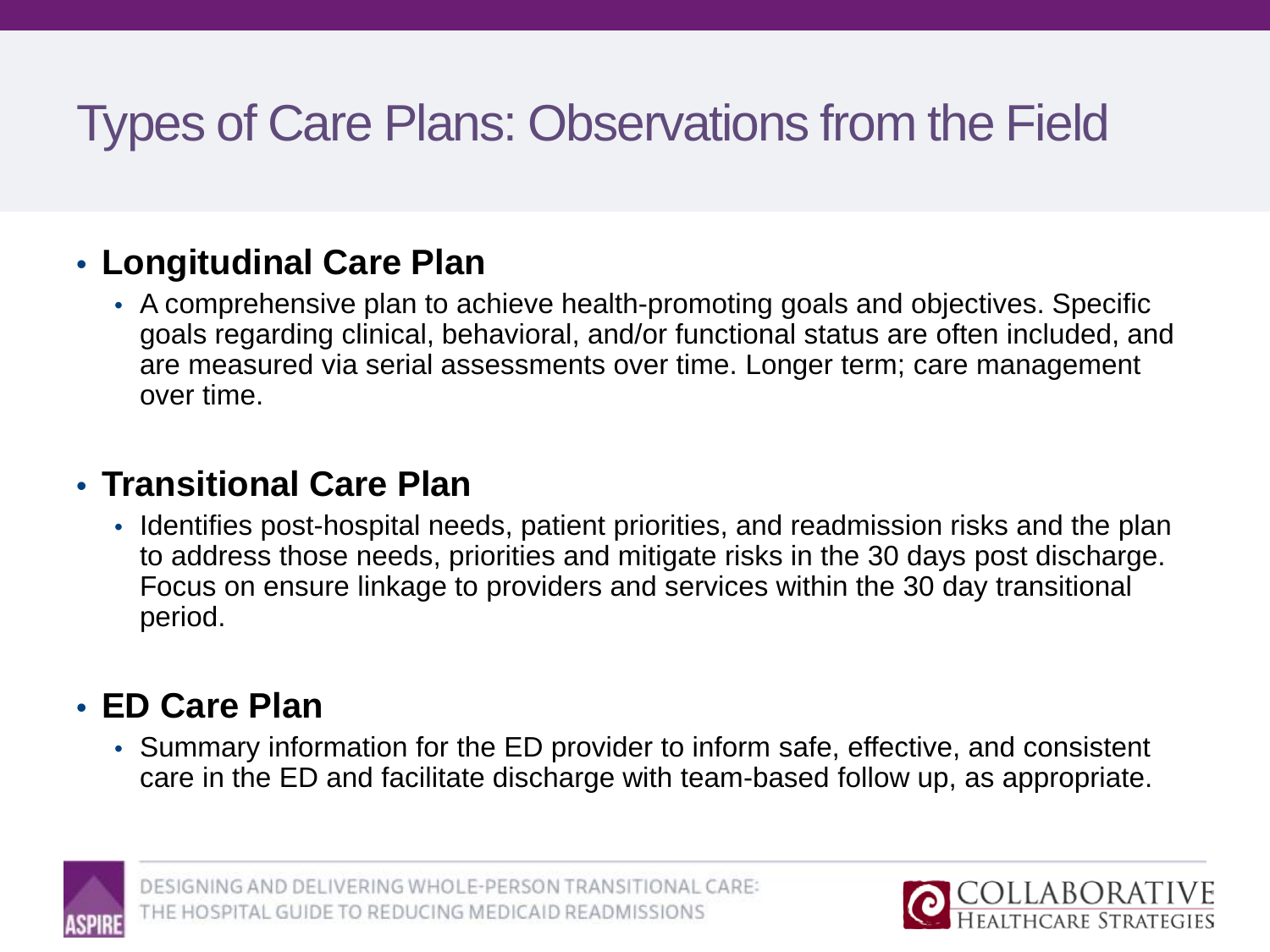# Types of Care Plans: Observations from the Field

### • **Longitudinal Care Plan**

• A comprehensive plan to achieve health-promoting goals and objectives. Specific goals regarding clinical, behavioral, and/or functional status are often included, and are measured via serial assessments over time. Longer term; care management over time.

### • **Transitional Care Plan**

• Identifies post-hospital needs, patient priorities, and readmission risks and the plan to address those needs, priorities and mitigate risks in the 30 days post discharge. Focus on ensure linkage to providers and services within the 30 day transitional period.

### • **ED Care Plan**

• Summary information for the ED provider to inform safe, effective, and consistent care in the ED and facilitate discharge with team-based follow up, as appropriate.

![](_page_25_Picture_7.jpeg)

![](_page_25_Picture_9.jpeg)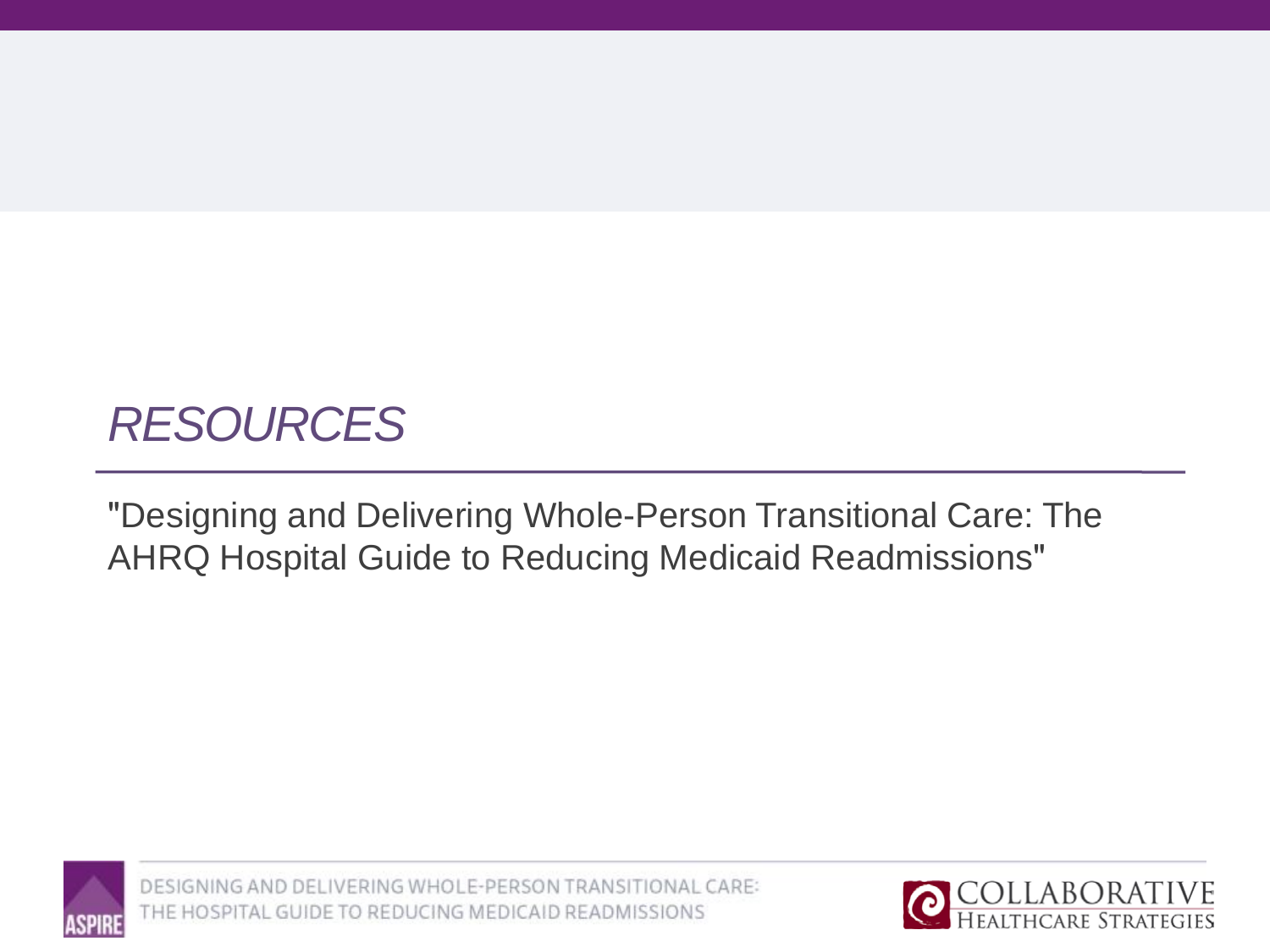## *RESOURCES*

"Designing and Delivering Whole-Person Transitional Care: The AHRQ Hospital Guide to Reducing Medicaid Readmissions"

![](_page_26_Picture_2.jpeg)

![](_page_26_Picture_4.jpeg)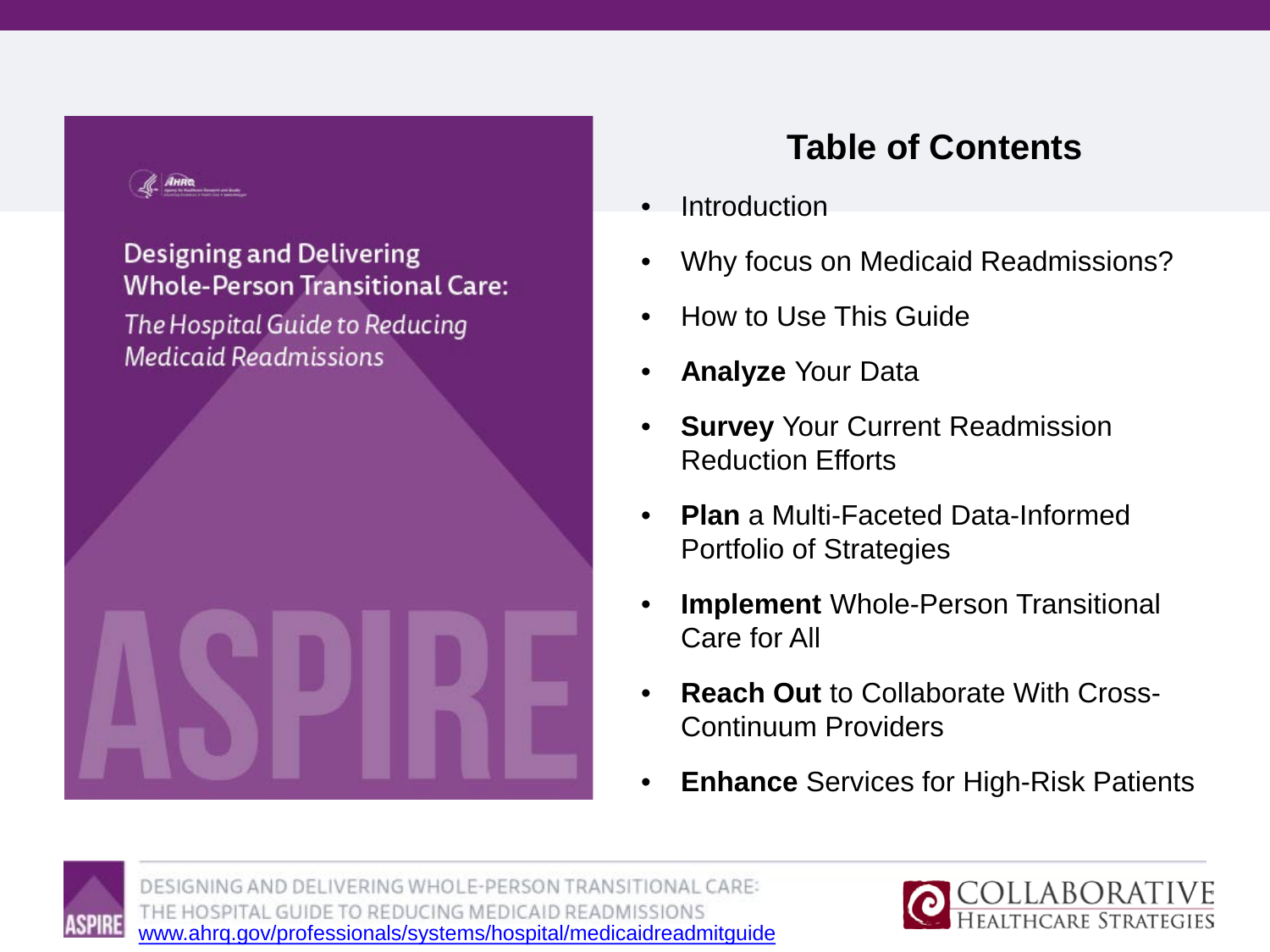![](_page_27_Picture_0.jpeg)

### Designing and Delivering **Whole-Person Transitional Care:**

The Hospital Guide to Reducing **Medicaid Readmissions** 

![](_page_27_Picture_3.jpeg)

### **Table of Contents**

- **Introduction**
- Why focus on Medicaid Readmissions?
- How to Use This Guide
- **Analyze** Your Data
- **Survey** Your Current Readmission Reduction Efforts
- **Plan** a Multi-Faceted Data-Informed Portfolio of Strategies
- **Implement** Whole-Person Transitional Care for All
- **Reach Out** to Collaborate With Cross-Continuum Providers
- **Enhance** Services for High-Risk Patients

![](_page_27_Picture_14.jpeg)

DESIGNING AND DELIVERING WHOLE-PERSON TRANSITIONAL CARE: THE HOSPITAL GUIDE TO REDUCING MEDICAID READMISSIONS [www.ahrq.gov/professionals/systems/hospital/medicaidreadmitguide](http://www.ahrq.gov/professionals/systems/hospital/medicaidreadmitguide)

![](_page_27_Picture_16.jpeg)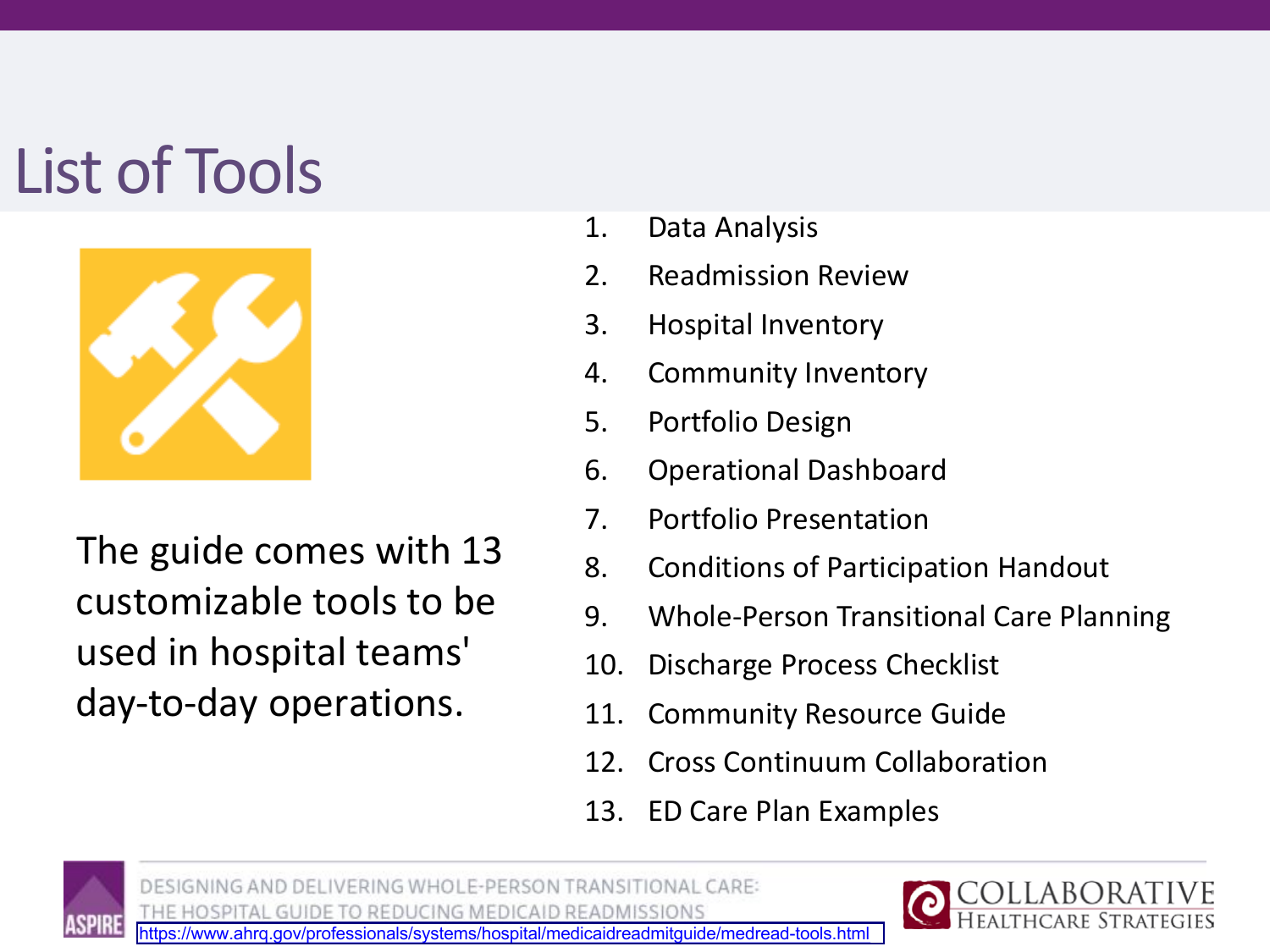# List of Tools

![](_page_28_Picture_1.jpeg)

The guide comes with 13 customizable tools to be used in hospital teams' day-to-day operations.

- 1. Data Analysis
- 2. Readmission Review
- 3. Hospital Inventory
- 4. Community Inventory
- 5. Portfolio Design
- 6. Operational Dashboard
- 7. Portfolio Presentation
- 8. Conditions of Participation Handout
- 9. Whole-Person Transitional Care Planning
- 10. Discharge Process Checklist
- 11. Community Resource Guide
- 12. Cross Continuum Collaboration
- 13. ED Care Plan Examples

![](_page_28_Picture_16.jpeg)

![](_page_28_Picture_17.jpeg)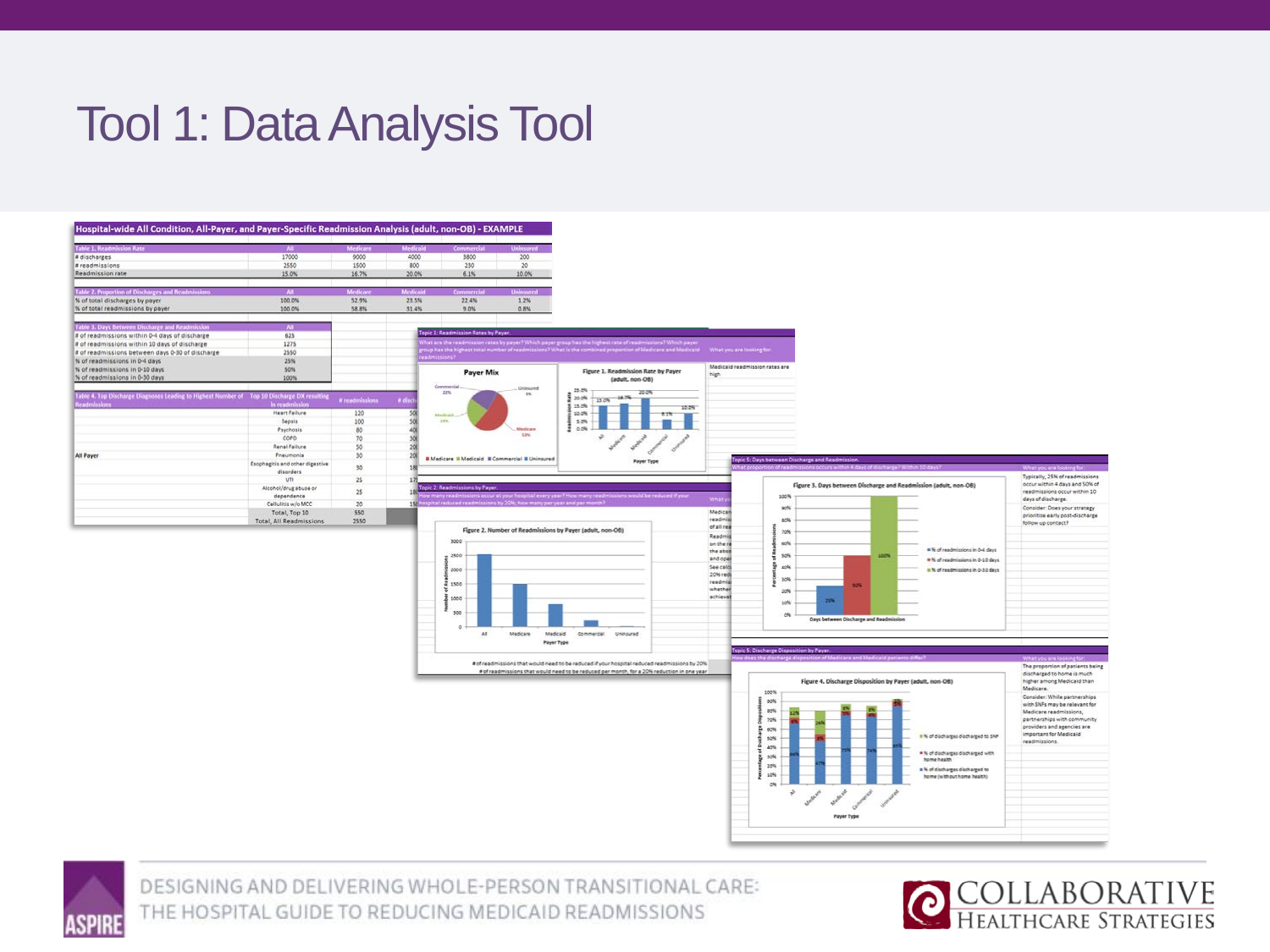## Tool 1: Data Analysis Tool

### Hospital-wide All Condition, All-Payer, and Payer-Specific Readmission Analysis (adult, non-OB) - EXAMPLE

| <b>Table 1. Readmission Rate</b>                                                            |                                              | <b>Medicar</b>  | Medicale |                                                                          |                        |                                                                                                                                                                                                                                   |                     |                                |                                                                                                                          |                                     |                                                             |
|---------------------------------------------------------------------------------------------|----------------------------------------------|-----------------|----------|--------------------------------------------------------------------------|------------------------|-----------------------------------------------------------------------------------------------------------------------------------------------------------------------------------------------------------------------------------|---------------------|--------------------------------|--------------------------------------------------------------------------------------------------------------------------|-------------------------------------|-------------------------------------------------------------|
| # discharges                                                                                | 17000                                        | 9000            | 4000     | 3800                                                                     | 200                    |                                                                                                                                                                                                                                   |                     |                                |                                                                                                                          |                                     |                                                             |
| # readmissions                                                                              | 2550                                         | 1500            | 800      | 230                                                                      | 20                     |                                                                                                                                                                                                                                   |                     |                                |                                                                                                                          |                                     |                                                             |
| Readmission rate                                                                            | 15.0%                                        | 16.7%           | 20.0%    | 6.1%                                                                     | 10.0%                  |                                                                                                                                                                                                                                   |                     |                                |                                                                                                                          |                                     |                                                             |
|                                                                                             |                                              |                 |          |                                                                          |                        |                                                                                                                                                                                                                                   |                     |                                |                                                                                                                          |                                     |                                                             |
| Table 2. Proportion of Discharges and Readmis                                               | $\overline{\mathbf{A}}$                      | Medican         | Medicaid |                                                                          | <b>Uninsured</b>       |                                                                                                                                                                                                                                   |                     |                                |                                                                                                                          |                                     |                                                             |
| % of total discharges by payer                                                              | 100.0%                                       | 52.9%           | 23.5%    | 22.4%                                                                    | 1.2%                   |                                                                                                                                                                                                                                   |                     |                                |                                                                                                                          |                                     |                                                             |
| % of total readmissions by paver.                                                           | 100.0%                                       | 58.8%           | 31.4%    | $9.0\%$                                                                  | 0.8%                   |                                                                                                                                                                                                                                   |                     |                                |                                                                                                                          |                                     |                                                             |
|                                                                                             |                                              |                 |          |                                                                          |                        |                                                                                                                                                                                                                                   |                     |                                |                                                                                                                          |                                     |                                                             |
| Table 3. Days Between Discharge and Kead                                                    | ïш                                           |                 |          | Topic 1: Readmission Rates by Payer                                      |                        |                                                                                                                                                                                                                                   |                     |                                |                                                                                                                          |                                     |                                                             |
| # of readmissions within 0-4 days of discharge                                              | 625                                          |                 |          |                                                                          |                        |                                                                                                                                                                                                                                   |                     |                                |                                                                                                                          |                                     |                                                             |
| # of readmissions within 10 days of discharge                                               | 1275                                         |                 |          |                                                                          |                        |                                                                                                                                                                                                                                   |                     |                                |                                                                                                                          |                                     |                                                             |
| # of readmissions between days 0-30 of discharge                                            | 2550                                         |                 |          |                                                                          |                        | group has the highest total number of readmissions? What is the combined proportion of Mediterral Which payer<br>readmissions? What total number of readmissions? What is the combined proportion of Medicine and Medicald — What |                     |                                |                                                                                                                          |                                     |                                                             |
| % of readmissions in 0-4 days                                                               | 25%                                          |                 |          |                                                                          |                        |                                                                                                                                                                                                                                   |                     | Medicald readmission rates are |                                                                                                                          |                                     |                                                             |
| % of readmissions in 0-10 days                                                              | 50%                                          |                 |          | <b>Payer Mix</b>                                                         |                        | Figure 1. Readmission Rate by Payer                                                                                                                                                                                               | high                |                                |                                                                                                                          |                                     |                                                             |
| % of readmissions in 0-30 days                                                              | 100%                                         |                 |          |                                                                          |                        | (adult, non-OB)                                                                                                                                                                                                                   |                     |                                |                                                                                                                          |                                     |                                                             |
| Table 4. Top Discharge Diagnoses Leading to Highest Number of Top 10 Discharge DX resulting |                                              | # readmission   | # di     | Commercial<br>22%                                                        | Uninsured<br><b>IN</b> | 25.0%<br>20.0%<br>20.0%<br>15.0% 14.7%                                                                                                                                                                                            |                     |                                |                                                                                                                          |                                     |                                                             |
|                                                                                             | <b>Q</b> reader                              |                 |          |                                                                          |                        | 15.0%<br>10.0%                                                                                                                                                                                                                    |                     |                                |                                                                                                                          |                                     |                                                             |
|                                                                                             | Heart Failure                                | 120             | 50       | <b>Automationalis</b>                                                    |                        | 10.0%                                                                                                                                                                                                                             |                     |                                |                                                                                                                          |                                     |                                                             |
|                                                                                             | Sepsis                                       | 100             |          | 225.                                                                     |                        | 5.0%<br>20.0%                                                                                                                                                                                                                     |                     |                                |                                                                                                                          |                                     |                                                             |
|                                                                                             | Psychosis                                    | 80              |          |                                                                          | Medicare<br>SPK.       |                                                                                                                                                                                                                                   |                     |                                |                                                                                                                          |                                     |                                                             |
|                                                                                             | corp                                         | 70              |          |                                                                          |                        |                                                                                                                                                                                                                                   |                     |                                |                                                                                                                          |                                     |                                                             |
|                                                                                             | Renal Faiture<br>Prieumonia                  | 50              |          |                                                                          |                        |                                                                                                                                                                                                                                   |                     |                                |                                                                                                                          |                                     |                                                             |
| All Payer                                                                                   |                                              | 30              |          | <b>B</b> Madicare B Madicald B Commercial B Uninsured                    |                        | <b>Payer Type</b>                                                                                                                                                                                                                 |                     |                                | Topic S: Days between Discharge and Readmission.                                                                         |                                     |                                                             |
|                                                                                             | Esophagitis and other digestive<br>disorders | 30              |          |                                                                          |                        |                                                                                                                                                                                                                                   |                     |                                | hat proportion of readmissions occurs within 4 days of discharge? Within 10 days?                                        |                                     | What you are looking for:                                   |
|                                                                                             | um                                           | $2\mathsf{S}$   |          |                                                                          |                        |                                                                                                                                                                                                                                   |                     |                                |                                                                                                                          |                                     | Typically, 25% of readmissions                              |
|                                                                                             | Alcohol/drug abuse or                        |                 |          | Topic 2: Readmissions by Payer                                           |                        |                                                                                                                                                                                                                                   |                     |                                | Figure 3. Days between Discharge and Readmission (adult, non-OB)                                                         |                                     | occur within 4 days and SON of                              |
|                                                                                             | depandence                                   | 25              |          |                                                                          |                        | ow many readmissions occur at your hospital every year? How many readmissions would be reduced if your                                                                                                                            |                     | 100%                           |                                                                                                                          |                                     | readmissions occur within 10                                |
|                                                                                             | Cellulitis w/o MCC                           | 20 <sub>2</sub> |          | K hospital reduced readmissions by 20%; how many per year and par month? |                        |                                                                                                                                                                                                                                   | Whaty               |                                |                                                                                                                          |                                     | days of discharge.                                          |
|                                                                                             | Total, Top 10                                | 550             |          |                                                                          |                        |                                                                                                                                                                                                                                   | Medican             | sols                           |                                                                                                                          |                                     | Consider: Does your strategy                                |
|                                                                                             | <b>Total, All Readmissions</b>               | 2550            |          |                                                                          |                        |                                                                                                                                                                                                                                   | readmis             | 80%                            |                                                                                                                          |                                     | prioritize early post-discharge<br>follow up contact?       |
|                                                                                             |                                              |                 |          |                                                                          |                        | Figure 2. Number of Readmissions by Payer (adult, non-OB)                                                                                                                                                                         | of all rea          | 70%                            |                                                                                                                          |                                     |                                                             |
|                                                                                             |                                              |                 |          | 3000                                                                     |                        |                                                                                                                                                                                                                                   | Readmi              |                                |                                                                                                                          |                                     |                                                             |
|                                                                                             |                                              |                 |          |                                                                          |                        |                                                                                                                                                                                                                                   | on the i<br>the shu | sols.                          |                                                                                                                          | *N of readmissions in 0-4 days      |                                                             |
|                                                                                             |                                              |                 |          | 2500                                                                     |                        |                                                                                                                                                                                                                                   | and cost            | 50%                            | 100%                                                                                                                     |                                     |                                                             |
|                                                                                             |                                              |                 |          |                                                                          |                        |                                                                                                                                                                                                                                   | See catd            | 40%                            |                                                                                                                          | * % of readmissions in 0-10 days    |                                                             |
|                                                                                             |                                              |                 |          | 2000                                                                     |                        |                                                                                                                                                                                                                                   | 20% red             |                                |                                                                                                                          | It % of readmissions in 0-10 days   |                                                             |
|                                                                                             |                                              |                 |          | 21500                                                                    |                        |                                                                                                                                                                                                                                   | readmis             | 50%                            | 90%                                                                                                                      |                                     |                                                             |
|                                                                                             |                                              |                 |          |                                                                          |                        |                                                                                                                                                                                                                                   | whether             | 20%                            |                                                                                                                          |                                     |                                                             |
|                                                                                             |                                              |                 |          | 5005                                                                     |                        |                                                                                                                                                                                                                                   | achieval            | solu                           | 21%                                                                                                                      |                                     |                                                             |
|                                                                                             |                                              |                 |          | 500                                                                      |                        |                                                                                                                                                                                                                                   |                     |                                |                                                                                                                          |                                     |                                                             |
|                                                                                             |                                              |                 |          |                                                                          |                        |                                                                                                                                                                                                                                   |                     | oN.                            | Days between Discharge and Readmission                                                                                   |                                     |                                                             |
|                                                                                             |                                              |                 |          | $\Omega$                                                                 |                        |                                                                                                                                                                                                                                   |                     |                                |                                                                                                                          |                                     |                                                             |
|                                                                                             |                                              |                 |          | AT                                                                       | Medicare<br>Medicald   | Commercial Uninsured                                                                                                                                                                                                              |                     |                                |                                                                                                                          |                                     |                                                             |
|                                                                                             |                                              |                 |          |                                                                          | Payer Type             |                                                                                                                                                                                                                                   |                     |                                |                                                                                                                          |                                     |                                                             |
|                                                                                             |                                              |                 |          |                                                                          |                        |                                                                                                                                                                                                                                   |                     |                                | Topic S: Discharge Disposition by Payer.<br>How does the discharge disposition of Medicare and Medicaid patients differ: |                                     |                                                             |
|                                                                                             |                                              |                 |          |                                                                          |                        | # of readmissions that would need to be reduced if your hospital reduced readmissions by 20%                                                                                                                                      |                     |                                |                                                                                                                          |                                     | What you are looking to<br>The proportion of patients being |
|                                                                                             |                                              |                 |          |                                                                          |                        | # of readmissions that would need to be reduced per month, for a 20% reduction in one year                                                                                                                                        |                     |                                |                                                                                                                          |                                     | discharged to home is much.                                 |
|                                                                                             |                                              |                 |          |                                                                          |                        |                                                                                                                                                                                                                                   |                     |                                | Figure 4. Discharge Disposition by Payer (adult, non-OB)                                                                 |                                     | higher among Medicald than                                  |
|                                                                                             |                                              |                 |          |                                                                          |                        |                                                                                                                                                                                                                                   |                     | 100%                           |                                                                                                                          |                                     | Medicare.                                                   |
|                                                                                             |                                              |                 |          |                                                                          |                        |                                                                                                                                                                                                                                   |                     | 92%                            |                                                                                                                          |                                     | Consider: While partnerships                                |
|                                                                                             |                                              |                 |          |                                                                          |                        |                                                                                                                                                                                                                                   |                     | apN                            |                                                                                                                          |                                     | with SNFs may be relevant for<br>Medicare readmissions,     |
|                                                                                             |                                              |                 |          |                                                                          |                        |                                                                                                                                                                                                                                   |                     | 70%                            |                                                                                                                          |                                     | partnerships with community                                 |
|                                                                                             |                                              |                 |          |                                                                          |                        |                                                                                                                                                                                                                                   |                     | 6CN                            |                                                                                                                          |                                     | providers and agencies are                                  |
|                                                                                             |                                              |                 |          |                                                                          |                        |                                                                                                                                                                                                                                   |                     | 50%                            |                                                                                                                          | . N of discharges discharged to SNP | important for Medicald                                      |
|                                                                                             |                                              |                 |          |                                                                          |                        |                                                                                                                                                                                                                                   |                     |                                |                                                                                                                          |                                     | readmissions.                                               |
|                                                                                             |                                              |                 |          |                                                                          |                        |                                                                                                                                                                                                                                   |                     | azh                            |                                                                                                                          | * % of discharges discharged with   |                                                             |
|                                                                                             |                                              |                 |          |                                                                          |                        |                                                                                                                                                                                                                                   |                     | sole                           |                                                                                                                          | home health.                        |                                                             |
|                                                                                             |                                              |                 |          |                                                                          |                        |                                                                                                                                                                                                                                   |                     | 20%                            |                                                                                                                          | a N of distharges discharged to     |                                                             |
|                                                                                             |                                              |                 |          |                                                                          |                        |                                                                                                                                                                                                                                   |                     | 10%                            |                                                                                                                          | home (without home health)          |                                                             |
|                                                                                             |                                              |                 |          |                                                                          |                        |                                                                                                                                                                                                                                   |                     | ON                             |                                                                                                                          |                                     |                                                             |
|                                                                                             |                                              |                 |          |                                                                          |                        |                                                                                                                                                                                                                                   |                     | $\varphi$                      | such such and                                                                                                            |                                     |                                                             |
|                                                                                             |                                              |                 |          |                                                                          |                        |                                                                                                                                                                                                                                   |                     |                                |                                                                                                                          |                                     |                                                             |
|                                                                                             |                                              |                 |          |                                                                          |                        |                                                                                                                                                                                                                                   |                     |                                |                                                                                                                          |                                     |                                                             |

![](_page_29_Picture_3.jpeg)

![](_page_29_Picture_5.jpeg)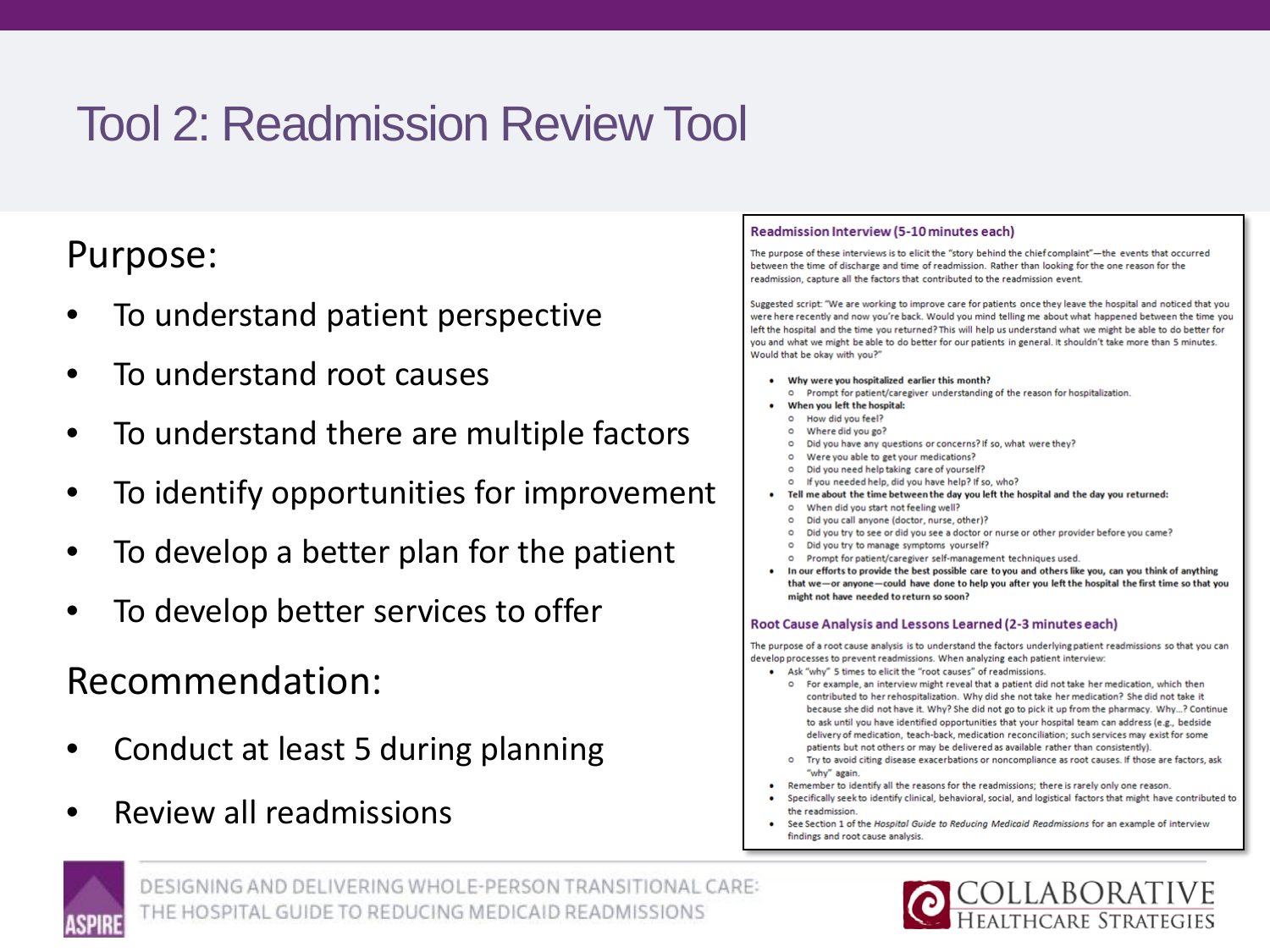## Tool 2: Readmission Review Tool

### Purpose:

- To understand patient perspective
- To understand root causes
- To understand there are multiple factors
- To identify opportunities for improvement
- To develop a better plan for the patient
- To develop better services to offer

Recommendation:

- Conduct at least 5 during planning
- Review all readmissions

### Readmission Interview (5-10 minutes each)

The purpose of these interviews is to elicit the "story behind the chief complaint"-the events that occurred between the time of discharge and time of readmission. Rather than looking for the one reason for the readmission, capture all the factors that contributed to the readmission event.

Suggested script: "We are working to improve care for patients once they leave the hospital and noticed that you were here recently and now you're back. Would you mind telling me about what happened between the time you left the hospital and the time you returned? This will help us understand what we might be able to do better for you and what we might be able to do better for our patients in general. It shouldn't take more than 5 minutes. Would that be okay with you?"

- Why were you hospitalized earlier this month?
- O Prompt for patient/caregiver understanding of the reason for hospitalization.
- When you left the hospital:
	- $\circ$ How did you feel?
	- Where did you go?  $\circ$
	- Did you have any questions or concerns? If so, what were they?  $\circ$
	- $\circ$ Were you able to get your medications?
	- Did you need help taking care of yourself?  $\circ$
	- If you needed help, did you have help? If so, who?
- Tell me about the time between the day you left the hospital and the day you returned:
	- When did you start not feeling well?  $\circ$  $\circ$
	- Did you call anyone (doctor, nurse, other)? Did you try to see or did you see a doctor or nurse or other provider before you came?  $\circ$
	- $\circ$ Did you try to manage symptoms yourself?
	- o Prompt for patient/caregiver self-management techniques used.
- In our efforts to provide the best possible care to you and others like you, can you think of anything that we-or anyone-could have done to help you after you left the hospital the first time so that you might not have needed to return so soon?

### Root Cause Analysis and Lessons Learned (2-3 minutes each)

The purpose of a root cause analysis is to understand the factors underlying patient readmissions so that you can develop processes to prevent readmissions. When analyzing each patient interview:

- Ask "why" 5 times to elicit the "root causes" of readmissions.
	- O For example, an interview might reveal that a patient did not take her medication, which then contributed to her rehospitalization. Why did she not take her medication? She did not take it because she did not have it. Why? She did not go to pick it up from the pharmacy. Why...? Continue to ask until you have identified opportunities that your hospital team can address (e.g., bedside delivery of medication, teach-back, medication reconciliation; such services may exist for some patients but not others or may be delivered as available rather than consistently).
	- O Try to avoid citing disease exacerbations or noncompliance as root causes. If those are factors, ask "why" again.
- Remember to identify all the reasons for the readmissions; there is rarely only one reason.
- Specifically seek to identify clinical, behavioral, social, and logistical factors that might have contributed to the readmission
- See Section 1 of the Hospital Guide to Reducing Medicaid Readmissions for an example of interview findings and root cause analysis.

![](_page_30_Picture_37.jpeg)

![](_page_30_Picture_39.jpeg)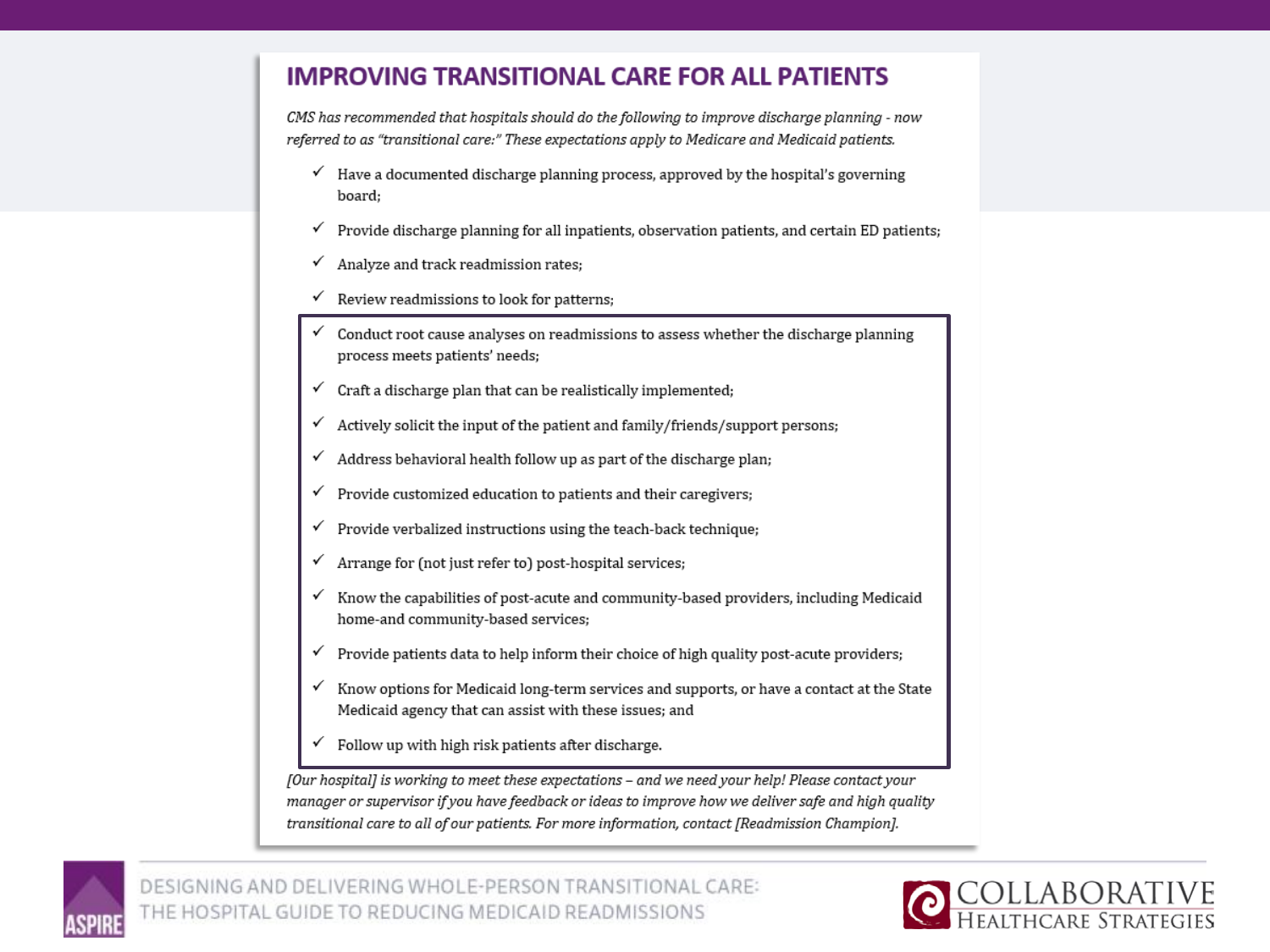### **IMPROVING TRANSITIONAL CARE FOR ALL PATIENTS**

CMS has recommended that hospitals should do the following to improve discharge planning - now referred to as "transitional care:" These expectations apply to Medicare and Medicaid patients.

- $\checkmark$  Have a documented discharge planning process, approved by the hospital's governing board:
- ✓ Provide discharge planning for all inpatients, observation patients, and certain ED patients;
- Analyze and track readmission rates; ✓
- Review readmissions to look for patterns;
- Conduct root cause analyses on readmissions to assess whether the discharge planning process meets patients' needs;
- Craft a discharge plan that can be realistically implemented;
- Actively solicit the input of the patient and family/friends/support persons; ✓
- Address behavioral health follow up as part of the discharge plan;
- Provide customized education to patients and their caregivers; ✓
- Provide verbalized instructions using the teach-back technique; ✓
- Arrange for (not just refer to) post-hospital services;
- Know the capabilities of post-acute and community-based providers, including Medicaid home-and community-based services;
- Provide patients data to help inform their choice of high quality post-acute providers; ✓
- Know options for Medicaid long-term services and supports, or have a contact at the State Medicaid agency that can assist with these issues; and
- Follow up with high risk patients after discharge.

[Our hospital] is working to meet these expectations - and we need your help! Please contact your manager or supervisor if you have feedback or ideas to improve how we deliver safe and high quality transitional care to all of our patients. For more information, contact [Readmission Champion].

![](_page_31_Picture_18.jpeg)

![](_page_31_Picture_20.jpeg)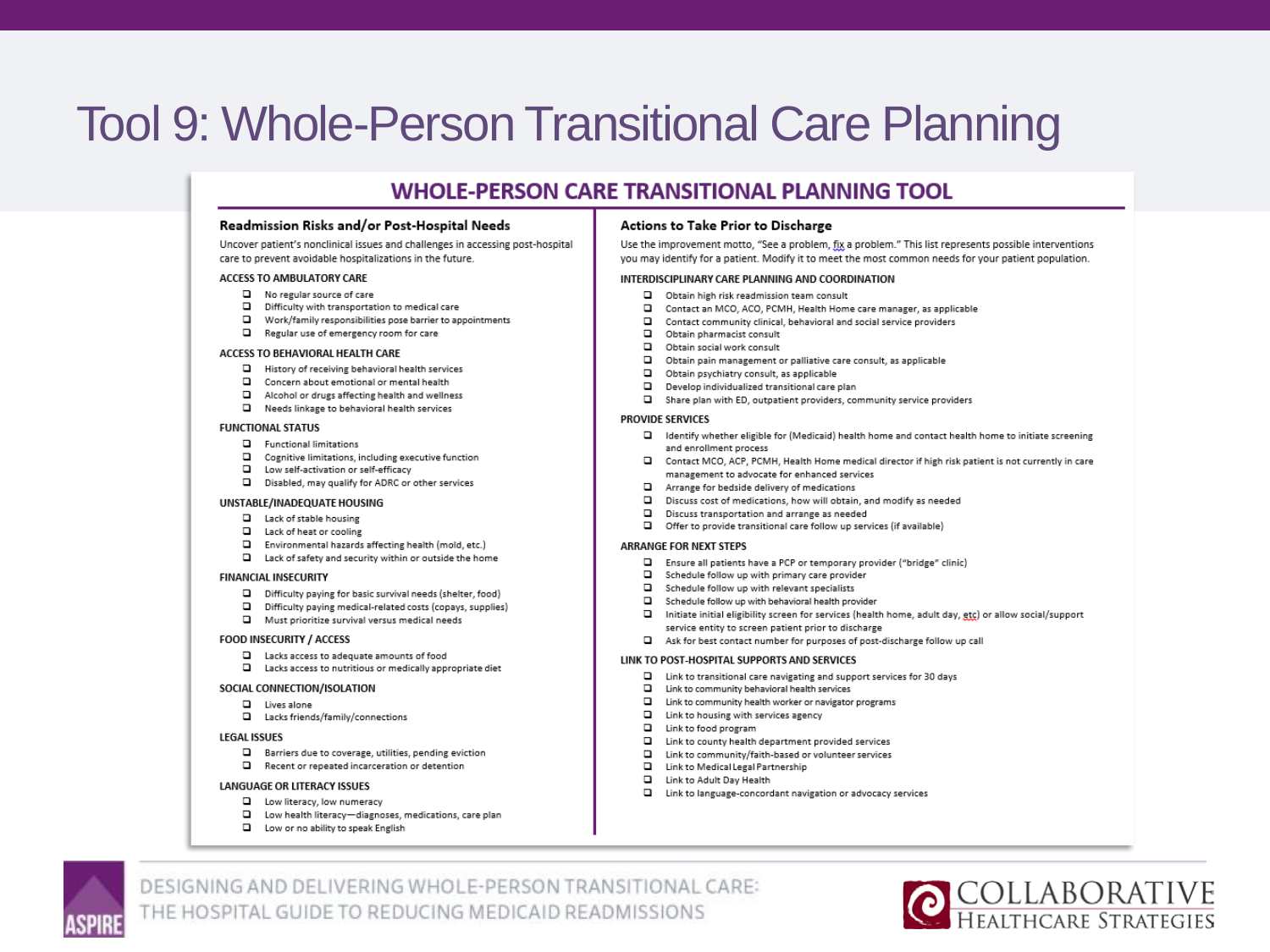## **Tool 9: Whole-Person Transitional Care Planning**

### **WHOLE-PERSON CARE TRANSITIONAL PLANNING TOOL**

### Readmission Risks and/or Post-Hospital Needs

Uncover patient's nonclinical issues and challenges in accessing post-hospital care to prevent avoidable hospitalizations in the future.

#### ACCESS TO AMBULATORY CARE

- $\Box$  No regular source of care
- D Difficulty with transportation to medical care
- Work/family responsibilities pose barrier to appointments
- Regular use of emergency room for care

#### ACCESS TO BEHAVIORAL HEALTH CARE

- History of receiving behavioral health services
- Concern about emotional or mental health
- Alcohol or drugs affecting health and wellness
- Needs linkage to behavioral health services

#### **FUNCTIONAL STATUS**

- Functional limitations
- $\square$  Cognitive limitations, including executive function
- Low self-activation or self-efficacy
- D Disabled, may qualify for ADRC or other services

### UNSTABLE/INADEQUATE HOUSING

- Lack of stable housing
- Lack of heat or cooling
- Environmental hazards affecting health (mold, etc.)
- □ Lack of safety and security within or outside the home

#### **FINANCIAL INSECURITY**

- Difficulty paying for basic survival needs (shelter, food)
- D Difficulty paying medical-related costs (copays, supplies)
- Must prioritize survival versus medical needs

#### **FOOD INSECURITY / ACCESS**

- □ Lacks access to adequate amounts of food
- Lacks access to nutritious or medically appropriate diet

#### SOCIAL CONNECTION/ISOLATION

- Lives alone
- Lacks friends/family/connections

### **LEGAL ISSUES**

- $\square$  Barriers due to coverage, utilities, pending eviction
- $\Box$  Recent or repeated incarceration or detention

### LANGUAGE OR LITERACY ISSUES

- Low literacy, low numeracy
- □ Low health literacy-diagnoses, medications, care plan
- Low or no ability to speak English

### Actions to Take Prior to Discharge

Use the improvement motto, "See a problem, fix a problem." This list represents possible interventions you may identify for a patient. Modify it to meet the most common needs for your patient population.

#### INTERDISCIPLINARY CARE PLANNING AND COORDINATION

- □ Obtain high risk readmission team consult
- Contact an MCO, ACO, PCMH, Health Home care manager, as applicable
- Contact community clinical, behavioral and social service providers
- Obtain pharmacist consult
- Obtain social work consult
- Obtain pain management or palliative care consult, as applicable
- D Obtain psychiatry consult, as applicable
- o. Develop individualized transitional care plan
- Share plan with ED, outpatient providers, community service providers

### **PROVIDE SERVICES**

- □ Identify whether eligible for (Medicaid) health home and contact health home to initiate screening and enrollment process
- □ Contact MCO, ACP, PCMH, Health Home medical director if high risk patient is not currently in care management to advocate for enhanced services
- Arrange for bedside delivery of medications
- $\Box$ Discuss cost of medications, how will obtain, and modify as needed
- $\Box$ Discuss transportation and arrange as needed
- Offer to provide transitional care follow up services (if available)

### **ARRANGE FOR NEXT STEPS**

- Ensure all patients have a PCP or temporary provider ("bridge" clinic)
- Schedule follow up with primary care provider
- $\square$  Schedule follow up with relevant specialists
- $\square$  Schedule follow up with behavioral health provider
- Initiate initial eligibility screen for services (health home, adult day, etc) or allow social/support service entity to screen patient prior to discharge
- Ask for best contact number for purposes of post-discharge follow up call

### LINK TO POST-HOSPITAL SUPPORTS AND SERVICES

- □ Link to transitional care navigating and support services for 30 days
- Link to community behavioral health services
- □ Link to community health worker or navigator programs
- $\Box$  Link to housing with services agency
- Link to food program
- $\square$  Link to county health department provided services
- □ Link to community/faith-based or volunteer services
- □ Link to Medical Legal Partnership
- $\Box$ Link to Adult Day Health
- O Link to language-concordant navigation or advocacy services

![](_page_32_Picture_78.jpeg)

![](_page_32_Picture_80.jpeg)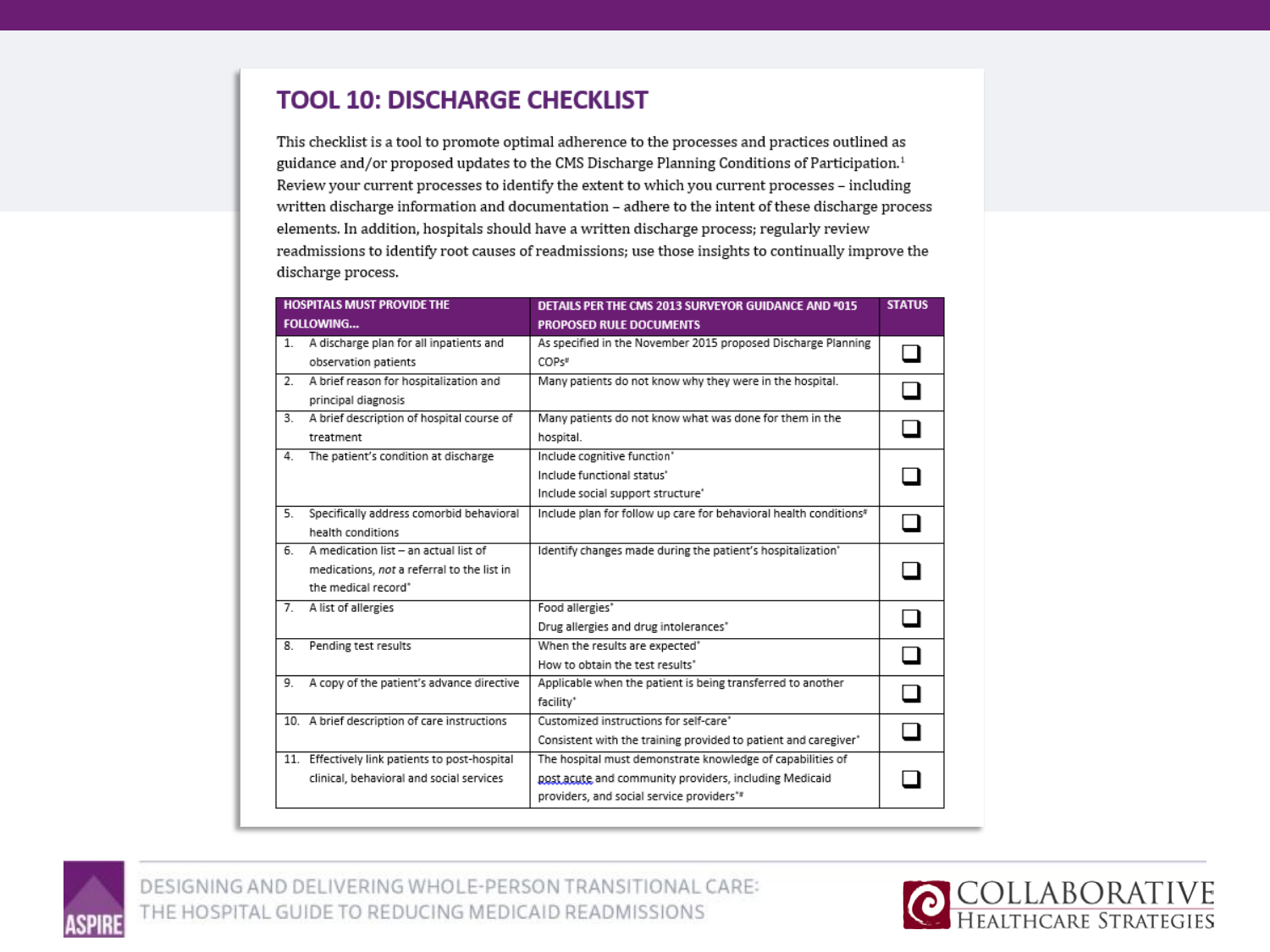### **TOOL 10: DISCHARGE CHECKLIST**

This checklist is a tool to promote optimal adherence to the processes and practices outlined as guidance and/or proposed updates to the CMS Discharge Planning Conditions of Participation.<sup>1</sup> Review your current processes to identify the extent to which you current processes - including written discharge information and documentation - adhere to the intent of these discharge process elements. In addition, hospitals should have a written discharge process; regularly review readmissions to identify root causes of readmissions; use those insights to continually improve the discharge process.

|                  | <b>HOSPITALS MUST PROVIDE THE</b>                                                                          | DETAILS PER THE CMS 2013 SURVEYOR GUIDANCE AND *015                                                                                                               | <b>STATUS</b> |
|------------------|------------------------------------------------------------------------------------------------------------|-------------------------------------------------------------------------------------------------------------------------------------------------------------------|---------------|
|                  | <b>FOLLOWING</b>                                                                                           | <b>PROPOSED RULE DOCUMENTS</b>                                                                                                                                    |               |
| $1_{-}$          | A discharge plan for all inpatients and<br>observation patients                                            | As specified in the November 2015 proposed Discharge Planning<br>COPs#                                                                                            |               |
| 2.               | A brief reason for hospitalization and<br>principal diagnosis                                              | Many patients do not know why they were in the hospital.                                                                                                          |               |
| 3.               | A brief description of hospital course of<br>treatment                                                     | Many patients do not know what was done for them in the<br>hospital.                                                                                              |               |
| 4.               | The patient's condition at discharge                                                                       | Include cognitive function'<br>Include functional status'<br>Include social support structure <sup>+</sup>                                                        |               |
| $\overline{5}$ . | Specifically address comorbid behavioral<br>health conditions                                              | Include plan for follow up care for behavioral health conditions*                                                                                                 |               |
| 6.               | A medication list - an actual list of<br>medications, not a referral to the list in<br>the medical record* | Identify changes made during the patient's hospitalization'                                                                                                       |               |
| 7.               | A list of allergies                                                                                        | Food allergies*<br>Drug allergies and drug intolerances"                                                                                                          |               |
| 8.               | Pending test results                                                                                       | When the results are expected <sup>*</sup><br>How to obtain the test results <sup>*</sup>                                                                         |               |
| 9.               | A copy of the patient's advance directive                                                                  | Applicable when the patient is being transferred to another<br>facility*                                                                                          |               |
|                  | 10. A brief description of care instructions                                                               | Customized instructions for self-care"<br>Consistent with the training provided to patient and caregiver*                                                         |               |
|                  | 11. Effectively link patients to post-hospital<br>clinical, behavioral and social services                 | The hospital must demonstrate knowledge of capabilities of<br>post acute and community providers, including Medicaid<br>providers, and social service providers** |               |

![](_page_33_Picture_3.jpeg)

![](_page_33_Picture_5.jpeg)